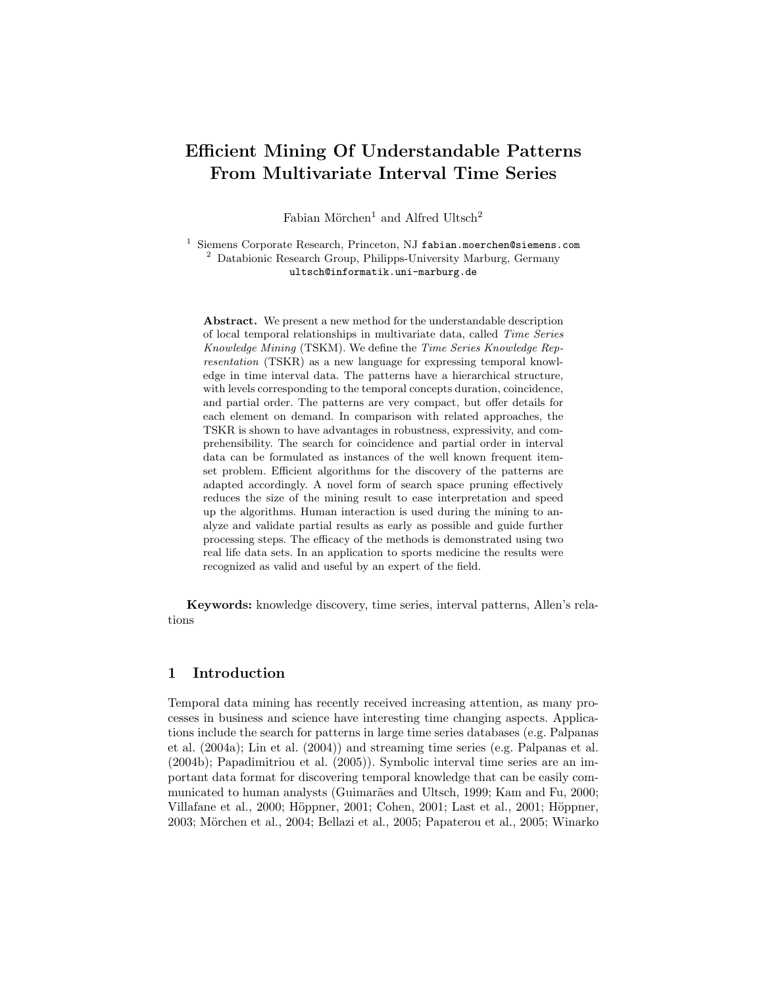# Efficient Mining Of Understandable Patterns From Multivariate Interval Time Series

Fabian Mörchen<sup>1</sup> and Alfred Ultsch<sup>2</sup>

<sup>1</sup> Siemens Corporate Research, Princeton, NJ fabian.moerchen@siemens.com <sup>2</sup> Databionic Research Group, Philipps-University Marburg, Germany ultsch@informatik.uni-marburg.de

Abstract. We present a new method for the understandable description of local temporal relationships in multivariate data, called Time Series Knowledge Mining (TSKM). We define the Time Series Knowledge Representation (TSKR) as a new language for expressing temporal knowledge in time interval data. The patterns have a hierarchical structure, with levels corresponding to the temporal concepts duration, coincidence, and partial order. The patterns are very compact, but offer details for each element on demand. In comparison with related approaches, the TSKR is shown to have advantages in robustness, expressivity, and comprehensibility. The search for coincidence and partial order in interval data can be formulated as instances of the well known frequent itemset problem. Efficient algorithms for the discovery of the patterns are adapted accordingly. A novel form of search space pruning effectively reduces the size of the mining result to ease interpretation and speed up the algorithms. Human interaction is used during the mining to analyze and validate partial results as early as possible and guide further processing steps. The efficacy of the methods is demonstrated using two real life data sets. In an application to sports medicine the results were recognized as valid and useful by an expert of the field.

Keywords: knowledge discovery, time series, interval patterns, Allen's relations

# 1 Introduction

Temporal data mining has recently received increasing attention, as many processes in business and science have interesting time changing aspects. Applications include the search for patterns in large time series databases (e.g. Palpanas et al. (2004a); Lin et al. (2004)) and streaming time series (e.g. Palpanas et al. (2004b); Papadimitriou et al. (2005)). Symbolic interval time series are an important data format for discovering temporal knowledge that can be easily communicated to human analysts (Guimarães and Ultsch, 1999; Kam and Fu, 2000; Villafane et al., 2000; Höppner, 2001; Cohen, 2001; Last et al., 2001; Höppner, 2003; Mörchen et al., 2004; Bellazi et al., 2005; Papaterou et al., 2005; Winarko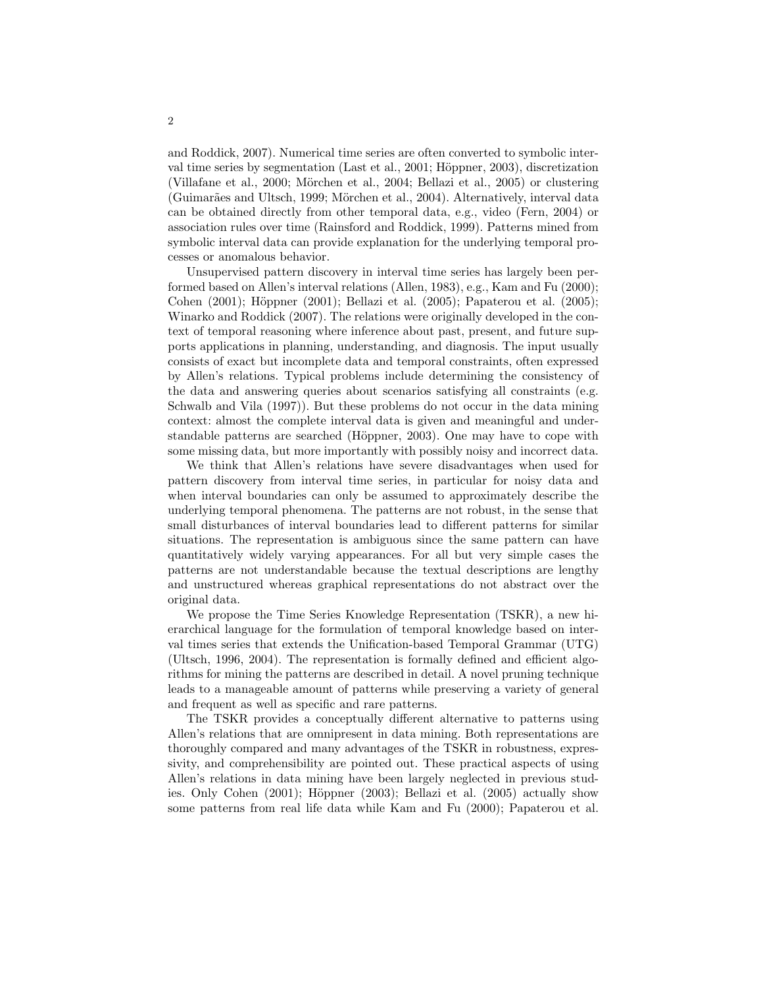and Roddick, 2007). Numerical time series are often converted to symbolic interval time series by segmentation (Last et al.,  $2001$ ; Höppner,  $2003$ ), discretization (Villafane et al., 2000; Mörchen et al., 2004; Bellazi et al., 2005) or clustering (Guimarães and Ultsch, 1999; Mörchen et al., 2004). Alternatively, interval data can be obtained directly from other temporal data, e.g., video (Fern, 2004) or association rules over time (Rainsford and Roddick, 1999). Patterns mined from symbolic interval data can provide explanation for the underlying temporal processes or anomalous behavior.

Unsupervised pattern discovery in interval time series has largely been performed based on Allen's interval relations (Allen, 1983), e.g., Kam and Fu (2000); Cohen (2001); Höppner (2001); Bellazi et al. (2005); Papaterou et al. (2005); Winarko and Roddick (2007). The relations were originally developed in the context of temporal reasoning where inference about past, present, and future supports applications in planning, understanding, and diagnosis. The input usually consists of exact but incomplete data and temporal constraints, often expressed by Allen's relations. Typical problems include determining the consistency of the data and answering queries about scenarios satisfying all constraints (e.g. Schwalb and Vila (1997)). But these problems do not occur in the data mining context: almost the complete interval data is given and meaningful and understandable patterns are searched (Höppner, 2003). One may have to cope with some missing data, but more importantly with possibly noisy and incorrect data.

We think that Allen's relations have severe disadvantages when used for pattern discovery from interval time series, in particular for noisy data and when interval boundaries can only be assumed to approximately describe the underlying temporal phenomena. The patterns are not robust, in the sense that small disturbances of interval boundaries lead to different patterns for similar situations. The representation is ambiguous since the same pattern can have quantitatively widely varying appearances. For all but very simple cases the patterns are not understandable because the textual descriptions are lengthy and unstructured whereas graphical representations do not abstract over the original data.

We propose the Time Series Knowledge Representation (TSKR), a new hierarchical language for the formulation of temporal knowledge based on interval times series that extends the Unification-based Temporal Grammar (UTG) (Ultsch, 1996, 2004). The representation is formally defined and efficient algorithms for mining the patterns are described in detail. A novel pruning technique leads to a manageable amount of patterns while preserving a variety of general and frequent as well as specific and rare patterns.

The TSKR provides a conceptually different alternative to patterns using Allen's relations that are omnipresent in data mining. Both representations are thoroughly compared and many advantages of the TSKR in robustness, expressivity, and comprehensibility are pointed out. These practical aspects of using Allen's relations in data mining have been largely neglected in previous studies. Only Cohen  $(2001)$ ; Höppner  $(2003)$ ; Bellazi et al.  $(2005)$  actually show some patterns from real life data while Kam and Fu (2000); Papaterou et al.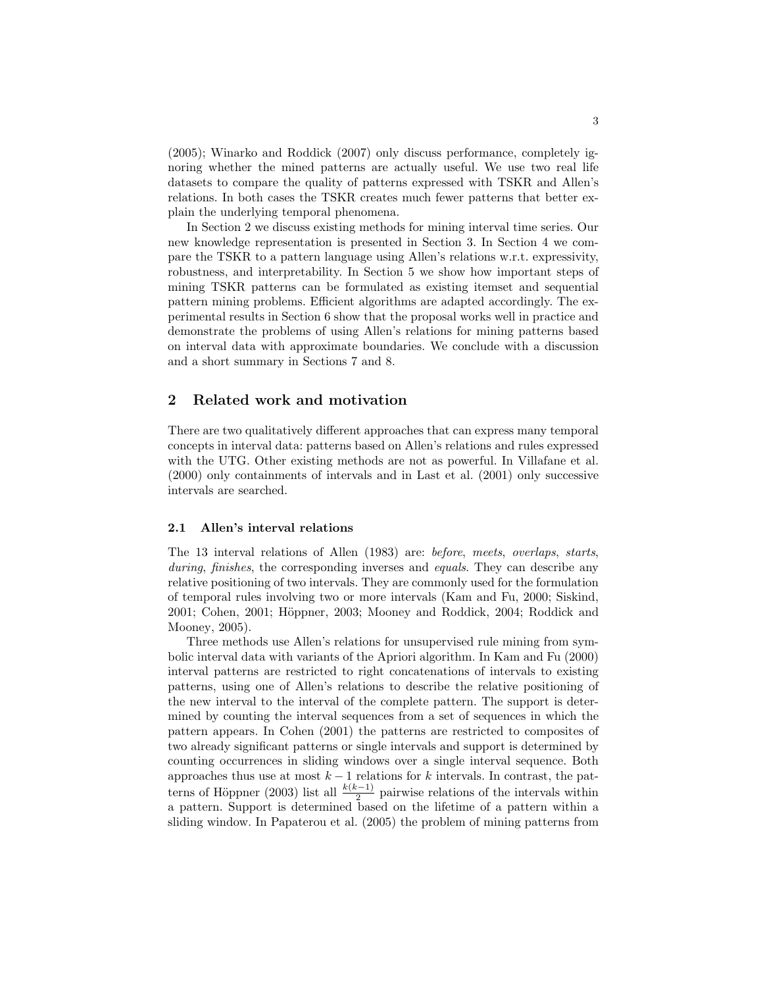(2005); Winarko and Roddick (2007) only discuss performance, completely ignoring whether the mined patterns are actually useful. We use two real life datasets to compare the quality of patterns expressed with TSKR and Allen's relations. In both cases the TSKR creates much fewer patterns that better explain the underlying temporal phenomena.

In Section 2 we discuss existing methods for mining interval time series. Our new knowledge representation is presented in Section 3. In Section 4 we compare the TSKR to a pattern language using Allen's relations w.r.t. expressivity, robustness, and interpretability. In Section 5 we show how important steps of mining TSKR patterns can be formulated as existing itemset and sequential pattern mining problems. Efficient algorithms are adapted accordingly. The experimental results in Section 6 show that the proposal works well in practice and demonstrate the problems of using Allen's relations for mining patterns based on interval data with approximate boundaries. We conclude with a discussion and a short summary in Sections 7 and 8.

# 2 Related work and motivation

There are two qualitatively different approaches that can express many temporal concepts in interval data: patterns based on Allen's relations and rules expressed with the UTG. Other existing methods are not as powerful. In Villafane et al. (2000) only containments of intervals and in Last et al. (2001) only successive intervals are searched.

#### 2.1 Allen's interval relations

The 13 interval relations of Allen (1983) are: before, meets, overlaps, starts, during, finishes, the corresponding inverses and equals. They can describe any relative positioning of two intervals. They are commonly used for the formulation of temporal rules involving two or more intervals (Kam and Fu, 2000; Siskind, 2001; Cohen, 2001; H¨oppner, 2003; Mooney and Roddick, 2004; Roddick and Mooney, 2005).

Three methods use Allen's relations for unsupervised rule mining from symbolic interval data with variants of the Apriori algorithm. In Kam and Fu (2000) interval patterns are restricted to right concatenations of intervals to existing patterns, using one of Allen's relations to describe the relative positioning of the new interval to the interval of the complete pattern. The support is determined by counting the interval sequences from a set of sequences in which the pattern appears. In Cohen (2001) the patterns are restricted to composites of two already significant patterns or single intervals and support is determined by counting occurrences in sliding windows over a single interval sequence. Both approaches thus use at most  $k-1$  relations for k intervals. In contrast, the patterns of Höppner (2003) list all  $\frac{k(k-1)}{2}$  pairwise relations of the intervals within a pattern. Support is determined based on the lifetime of a pattern within a sliding window. In Papaterou et al. (2005) the problem of mining patterns from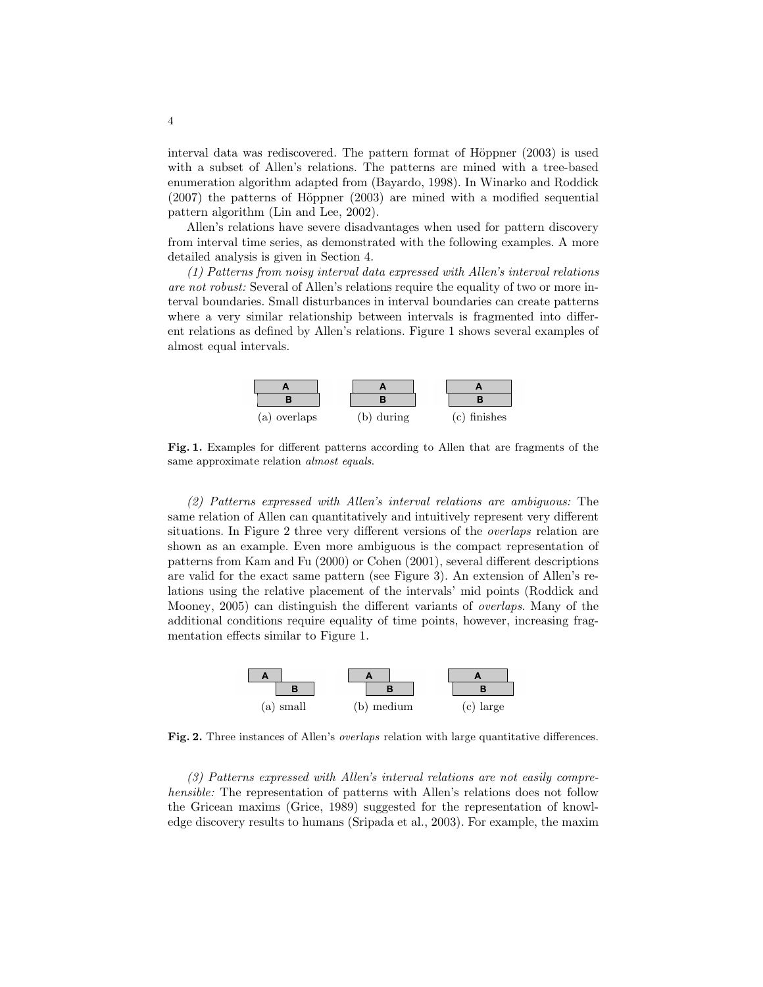interval data was rediscovered. The pattern format of Höppner  $(2003)$  is used with a subset of Allen's relations. The patterns are mined with a tree-based enumeration algorithm adapted from (Bayardo, 1998). In Winarko and Roddick  $(2007)$  the patterns of Höppner  $(2003)$  are mined with a modified sequential pattern algorithm (Lin and Lee, 2002).

Allen's relations have severe disadvantages when used for pattern discovery from interval time series, as demonstrated with the following examples. A more detailed analysis is given in Section 4.

(1) Patterns from noisy interval data expressed with Allen's interval relations are not robust: Several of Allen's relations require the equality of two or more interval boundaries. Small disturbances in interval boundaries can create patterns where a very similar relationship between intervals is fragmented into different relations as defined by Allen's relations. Figure 1 shows several examples of almost equal intervals.



Fig. 1. Examples for different patterns according to Allen that are fragments of the same approximate relation *almost equals.* 

(2) Patterns expressed with Allen's interval relations are ambiguous: The same relation of Allen can quantitatively and intuitively represent very different situations. In Figure 2 three very different versions of the overlaps relation are shown as an example. Even more ambiguous is the compact representation of patterns from Kam and Fu (2000) or Cohen (2001), several different descriptions are valid for the exact same pattern (see Figure 3). An extension of Allen's relations using the relative placement of the intervals' mid points (Roddick and Mooney, 2005) can distinguish the different variants of overlaps. Many of the additional conditions require equality of time points, however, increasing fragmentation effects similar to Figure 1.



Fig. 2. Three instances of Allen's *overlaps* relation with large quantitative differences.

(3) Patterns expressed with Allen's interval relations are not easily comprehensible: The representation of patterns with Allen's relations does not follow the Gricean maxims (Grice, 1989) suggested for the representation of knowledge discovery results to humans (Sripada et al., 2003). For example, the maxim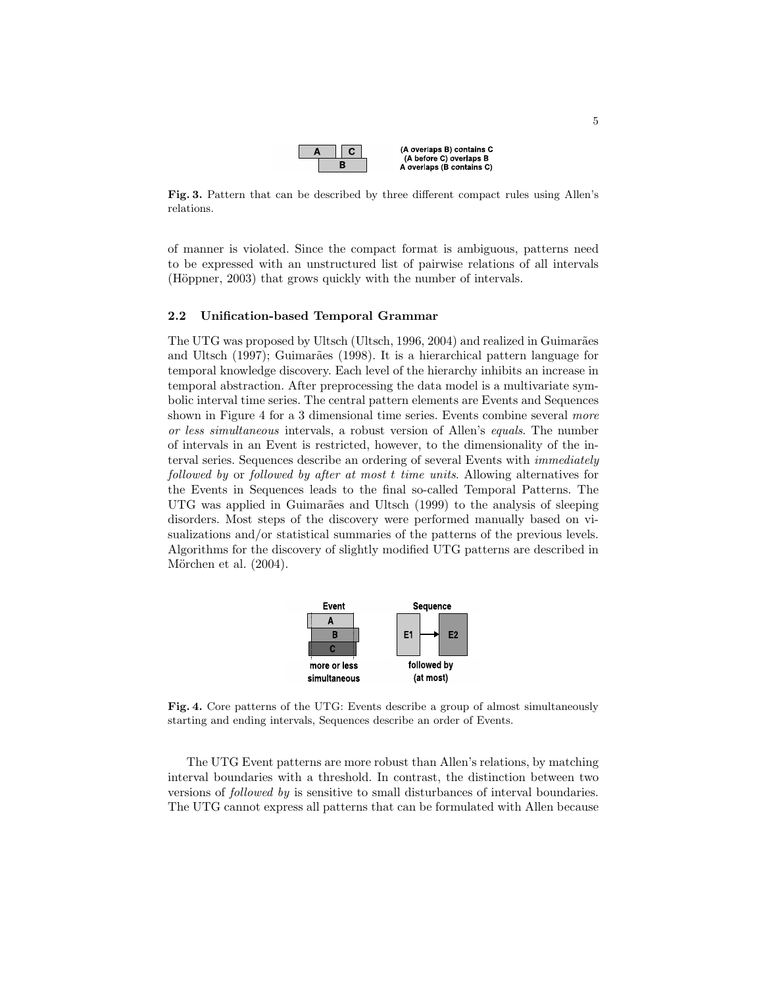

(A overlaps B) contains C<br>(A before C) overlaps B A overlaps (B contains C)

Fig. 3. Pattern that can be described by three different compact rules using Allen's relations.

of manner is violated. Since the compact format is ambiguous, patterns need to be expressed with an unstructured list of pairwise relations of all intervals (Höppner, 2003) that grows quickly with the number of intervals.

#### 2.2 Unification-based Temporal Grammar

The UTG was proposed by Ultsch (Ultsch, 1996, 2004) and realized in Guimarães and Ultsch (1997); Guimarães (1998). It is a hierarchical pattern language for temporal knowledge discovery. Each level of the hierarchy inhibits an increase in temporal abstraction. After preprocessing the data model is a multivariate symbolic interval time series. The central pattern elements are Events and Sequences shown in Figure 4 for a 3 dimensional time series. Events combine several more or less simultaneous intervals, a robust version of Allen's equals. The number of intervals in an Event is restricted, however, to the dimensionality of the interval series. Sequences describe an ordering of several Events with *immediately* followed by or followed by after at most t time units. Allowing alternatives for the Events in Sequences leads to the final so-called Temporal Patterns. The UTG was applied in Guimarães and Ultsch (1999) to the analysis of sleeping disorders. Most steps of the discovery were performed manually based on visualizations and/or statistical summaries of the patterns of the previous levels. Algorithms for the discovery of slightly modified UTG patterns are described in Mörchen et al.  $(2004)$ .



Fig. 4. Core patterns of the UTG: Events describe a group of almost simultaneously starting and ending intervals, Sequences describe an order of Events.

The UTG Event patterns are more robust than Allen's relations, by matching interval boundaries with a threshold. In contrast, the distinction between two versions of followed by is sensitive to small disturbances of interval boundaries. The UTG cannot express all patterns that can be formulated with Allen because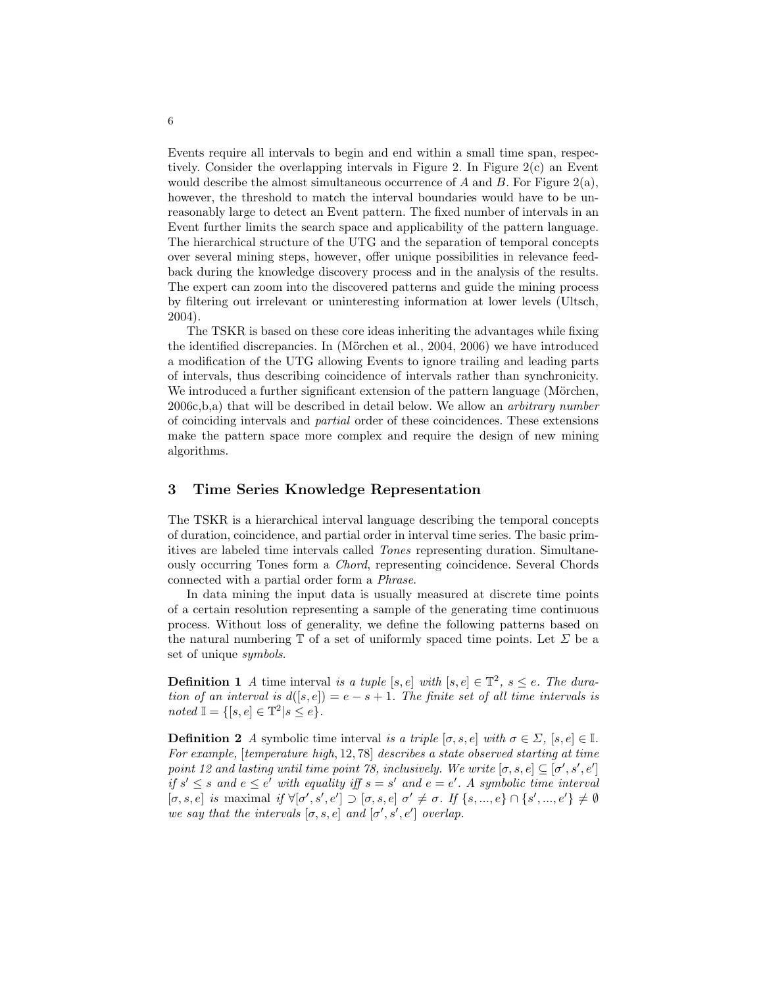Events require all intervals to begin and end within a small time span, respectively. Consider the overlapping intervals in Figure 2. In Figure 2(c) an Event would describe the almost simultaneous occurrence of A and B. For Figure 2(a), however, the threshold to match the interval boundaries would have to be unreasonably large to detect an Event pattern. The fixed number of intervals in an Event further limits the search space and applicability of the pattern language. The hierarchical structure of the UTG and the separation of temporal concepts over several mining steps, however, offer unique possibilities in relevance feedback during the knowledge discovery process and in the analysis of the results. The expert can zoom into the discovered patterns and guide the mining process by filtering out irrelevant or uninteresting information at lower levels (Ultsch, 2004).

The TSKR is based on these core ideas inheriting the advantages while fixing the identified discrepancies. In (Mörchen et al., 2004, 2006) we have introduced a modification of the UTG allowing Events to ignore trailing and leading parts of intervals, thus describing coincidence of intervals rather than synchronicity. We introduced a further significant extension of the pattern language (Mörchen, 2006c,b,a) that will be described in detail below. We allow an arbitrary number of coinciding intervals and partial order of these coincidences. These extensions make the pattern space more complex and require the design of new mining algorithms.

# 3 Time Series Knowledge Representation

The TSKR is a hierarchical interval language describing the temporal concepts of duration, coincidence, and partial order in interval time series. The basic primitives are labeled time intervals called Tones representing duration. Simultaneously occurring Tones form a Chord, representing coincidence. Several Chords connected with a partial order form a Phrase.

In data mining the input data is usually measured at discrete time points of a certain resolution representing a sample of the generating time continuous process. Without loss of generality, we define the following patterns based on the natural numbering  $\mathbb T$  of a set of uniformly spaced time points. Let  $\Sigma$  be a set of unique symbols.

**Definition 1** A time interval is a tuple  $[s, e]$  with  $[s, e] \in \mathbb{T}^2$ ,  $s \le e$ . The duration of an interval is  $d([s, e]) = e - s + 1$ . The finite set of all time intervals is noted  $\mathbb{I} = \{ [s, e] \in \mathbb{T}^2 | s \leq e \}.$ 

**Definition 2** A symbolic time interval is a triple  $[\sigma, s, e]$  with  $\sigma \in \Sigma$ ,  $[s, e] \in \mathbb{I}$ . For example, [temperature high, 12, 78] describes a state observed starting at time point 12 and lasting until time point 78, inclusively. We write  $[\sigma, s, e] \subseteq [\sigma', s', e']$ if  $s' \leq s$  and  $e \leq e'$  with equality iff  $s = s'$  and  $e = e'$ . A symbolic time interval  $[\sigma, s, e]$  is maximal if  $\forall [\sigma', s', e'] \supset [\sigma, s, e]$   $\sigma' \neq \sigma$ . If  $\{s, ..., e\} \cap \{s', ..., e'\} \neq \emptyset$ we say that the intervals  $[\sigma, s, e]$  and  $[\sigma', s', e']$  overlap.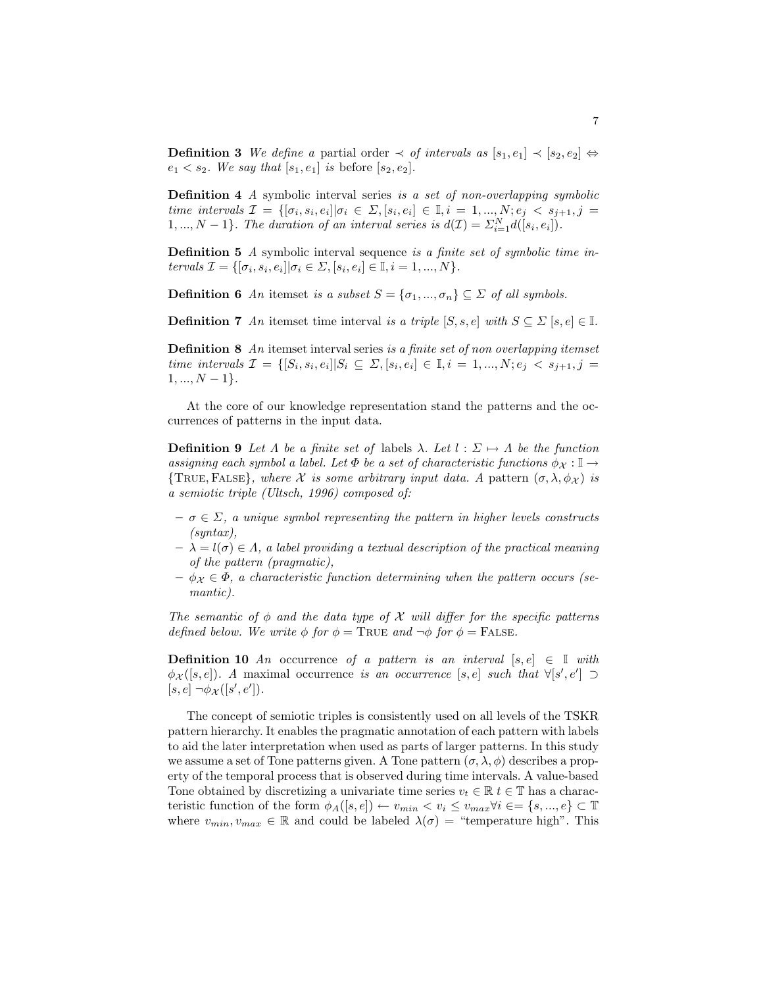**Definition 3** We define a partial order  $\prec$  of intervals as  $[s_1, e_1] \prec [s_2, e_2] \Leftrightarrow$  $e_1 < s_2$ . We say that  $[s_1, e_1]$  is before  $[s_2, e_2]$ .

Definition 4 A symbolic interval series is a set of non-overlapping symbolic time intervals  $\mathcal{I} = \{[\sigma_i, s_i, e_i] | \sigma_i \in \Sigma, [s_i, e_i] \in \mathbb{I}, i = 1, ..., N; e_j < s_{j+1}, j = 1\}$ 1, ...,  $N-1$ }. The duration of an interval series is  $d(\mathcal{I}) = \sum_{i=1}^{N} d([s_i, e_i])$ .

**Definition 5** A symbolic interval sequence is a finite set of symbolic time intervals  $\mathcal{I} = \{[\sigma_i, s_i, e_i] | \sigma_i \in \Sigma, [s_i, e_i] \in \mathbb{I}, i = 1, ..., N\}.$ 

**Definition 6** An itemset is a subset  $S = {\sigma_1, ..., \sigma_n} \subseteq \Sigma$  of all symbols.

**Definition 7** An itemset time interval is a triple  $[S, s, e]$  with  $S \subseteq \Sigma$   $[s, e] \in \mathbb{I}$ .

Definition 8 An itemset interval series is a finite set of non overlapping itemset time intervals  $\mathcal{I} = \{ [S_i, s_i, e_i] | S_i \subseteq \Sigma, [s_i, e_i] \in \mathbb{I}, i = 1, ..., N; e_j < s_{j+1}, j = 1, \dots, N \}$  $1, ..., N - 1$ .

At the core of our knowledge representation stand the patterns and the occurrences of patterns in the input data.

**Definition 9** Let  $\Lambda$  be a finite set of labels  $\lambda$ . Let  $l : \Sigma \mapsto \Lambda$  be the function assigning each symbol a label. Let  $\Phi$  be a set of characteristic functions  $\phi_{\mathcal{X}}: \mathbb{I} \to$ {TRUE, FALSE}, where X is some arbitrary input data. A pattern  $(\sigma, \lambda, \phi_{\mathcal{X}})$  is a semiotic triple (Ultsch, 1996) composed of:

- $-\sigma \in \Sigma$ , a unique symbol representing the pattern in higher levels constructs (syntax),
- $-\lambda = l(\sigma) \in \Lambda$ , a label providing a textual description of the practical meaning of the pattern (pragmatic),
- $-\phi_{\mathcal{X}} \in \Phi$ , a characteristic function determining when the pattern occurs (semantic).

The semantic of  $\phi$  and the data type of X will differ for the specific patterns defined below. We write  $\phi$  for  $\phi = \text{TRUE}$  and  $\neg \phi$  for  $\phi = \text{FALSE}$ .

**Definition 10** An occurrence of a pattern is an interval  $[s, e] \in \mathbb{I}$  with  $\phi_{\mathcal{X}}([s, e])$ . A maximal occurrence is an occurrence  $[s, e]$  such that  $\forall [s', e'] \supset$  $[s, e] \neg \phi_{\mathcal{X}}([s', e']).$ 

The concept of semiotic triples is consistently used on all levels of the TSKR pattern hierarchy. It enables the pragmatic annotation of each pattern with labels to aid the later interpretation when used as parts of larger patterns. In this study we assume a set of Tone patterns given. A Tone pattern  $(\sigma, \lambda, \phi)$  describes a property of the temporal process that is observed during time intervals. A value-based Tone obtained by discretizing a univariate time series  $v_t \in \mathbb{R}$  t  $\in \mathbb{T}$  has a characteristic function of the form  $\phi_A([s, e]) \leftarrow v_{min} < v_i \leq v_{max} \forall i \in \{s, ..., e\} \subset \mathbb{T}$ where  $v_{min}, v_{max} \in \mathbb{R}$  and could be labeled  $\lambda(\sigma) =$  "temperature high". This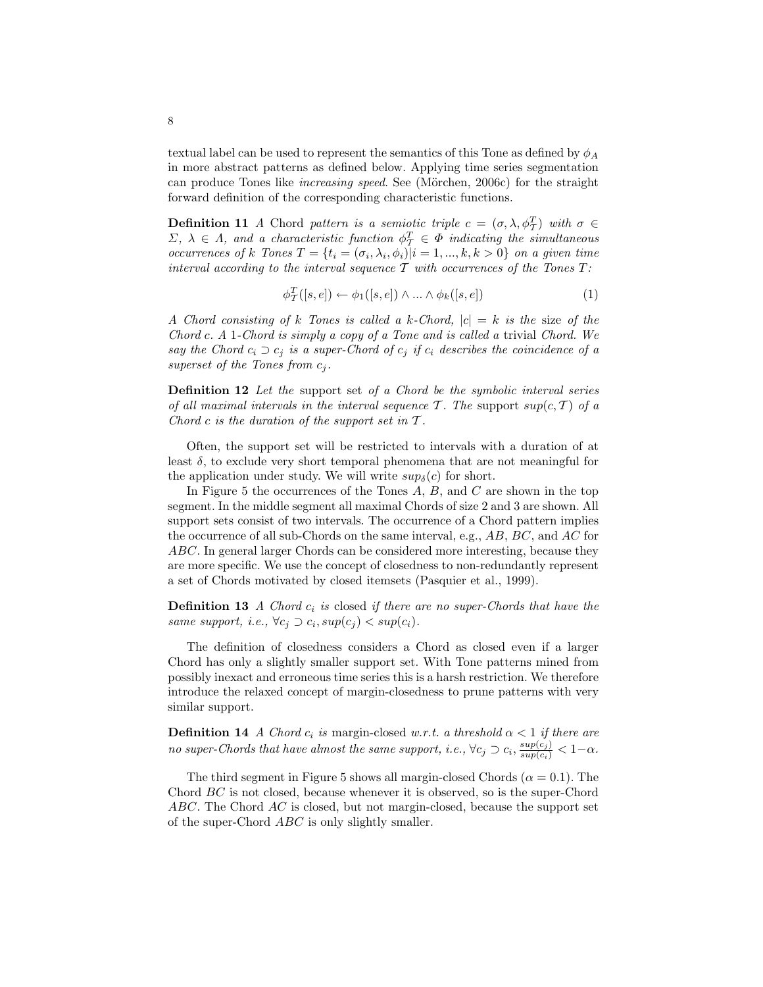textual label can be used to represent the semantics of this Tone as defined by  $\phi_A$ in more abstract patterns as defined below. Applying time series segmentation can produce Tones like *increasing speed*. See (Mörchen, 2006c) for the straight forward definition of the corresponding characteristic functions.

**Definition 11** A Chord pattern is a semiotic triple  $c = (\sigma, \lambda, \phi_T^T)$  with  $\sigma \in$  $\Sigma, \lambda \in \Lambda$ , and a characteristic function  $\phi^T_{\mathcal{T}} \in \Phi$  indicating the simultaneous occurrences of k Tones  $T = \{t_i = (\sigma_i, \lambda_i, \phi_i) | i = 1, ..., k, k > 0\}$  on a given time interval according to the interval sequence  $\mathcal T$  with occurrences of the Tones  $T$ :

$$
\phi_{\mathcal{T}}^{T}([s,e]) \leftarrow \phi_1([s,e]) \wedge \dots \wedge \phi_k([s,e]) \tag{1}
$$

A Chord consisting of k Tones is called a k-Chord,  $|c| = k$  is the size of the Chord c. A 1-Chord is simply a copy of a Tone and is called a trivial Chord. We say the Chord  $c_i \supset c_j$  is a super-Chord of  $c_j$  if  $c_i$  describes the coincidence of a superset of the Tones from  $c_i$ .

Definition 12 Let the support set of a Chord be the symbolic interval series of all maximal intervals in the interval sequence T. The support  $sup(c, T)$  of a Chord c is the duration of the support set in  $\mathcal{T}$ .

Often, the support set will be restricted to intervals with a duration of at least  $\delta$ , to exclude very short temporal phenomena that are not meaningful for the application under study. We will write  $sup_{\delta}(c)$  for short.

In Figure 5 the occurrences of the Tones  $A, B$ , and  $C$  are shown in the top segment. In the middle segment all maximal Chords of size 2 and 3 are shown. All support sets consist of two intervals. The occurrence of a Chord pattern implies the occurrence of all sub-Chords on the same interval, e.g., AB, BC, and AC for ABC. In general larger Chords can be considered more interesting, because they are more specific. We use the concept of closedness to non-redundantly represent a set of Chords motivated by closed itemsets (Pasquier et al., 1999).

**Definition 13** A Chord  $c_i$  is closed if there are no super-Chords that have the same support, i.e.,  $\forall c_j \supset c_i, \text{sup}(c_j) < \text{sup}(c_i)$ .

The definition of closedness considers a Chord as closed even if a larger Chord has only a slightly smaller support set. With Tone patterns mined from possibly inexact and erroneous time series this is a harsh restriction. We therefore introduce the relaxed concept of margin-closedness to prune patterns with very similar support.

**Definition 14** A Chord  $c_i$  is margin-closed w.r.t. a threshold  $\alpha < 1$  if there are no super-Chords that have almost the same support, i.e.,  $\forall c_j \supset c_i$ ,  $\frac{sup(c_j)}{sup(c_i)} < 1-\alpha$ .

The third segment in Figure 5 shows all margin-closed Chords ( $\alpha = 0.1$ ). The Chord BC is not closed, because whenever it is observed, so is the super-Chord ABC. The Chord AC is closed, but not margin-closed, because the support set of the super-Chord ABC is only slightly smaller.

8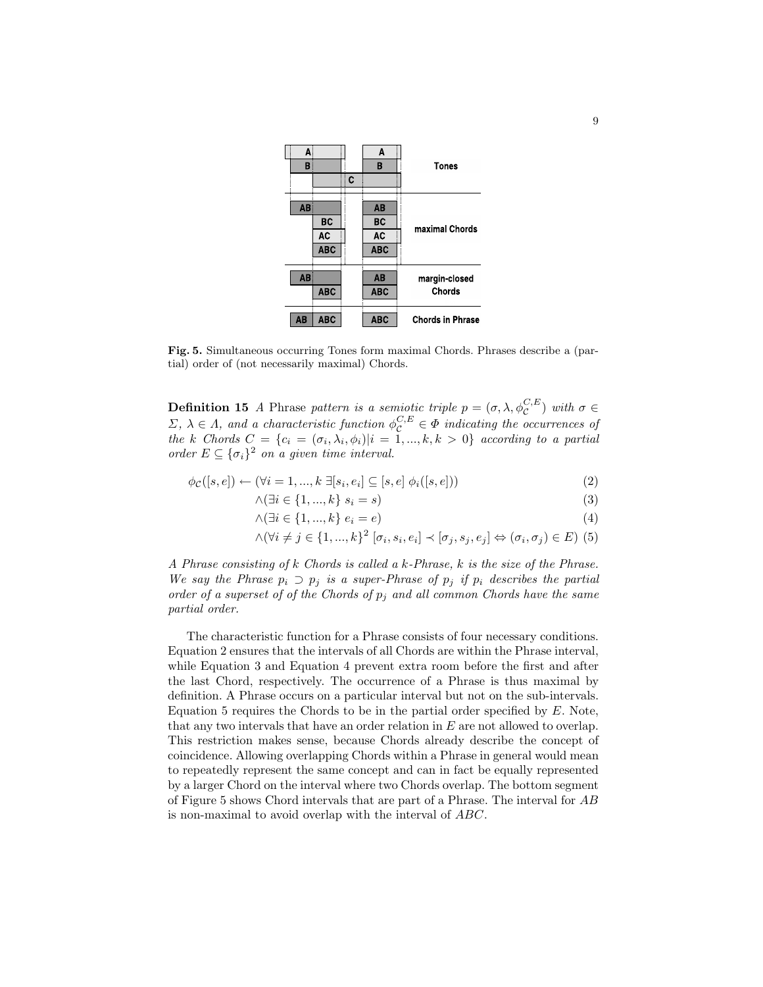

Fig. 5. Simultaneous occurring Tones form maximal Chords. Phrases describe a (partial) order of (not necessarily maximal) Chords.

**Definition 15** A Phrase pattern is a semiotic triple  $p = (\sigma, \lambda, \phi_C^{C,E})$  with  $\sigma \in$  $\Sigma, \lambda \in \Lambda$ , and a characteristic function  $\phi_{\mathcal{C}}^{C,E} \in \Phi$  indicating the occurrences of the k Chords  $C = \{c_i = (\sigma_i, \lambda_i, \phi_i) | i = 1, ..., k, k > 0\}$  according to a partial order  $E \subseteq {\lbrace \sigma_i \rbrace}^2$  on a given time interval.

$$
\phi_{\mathcal{C}}([s,e]) \leftarrow (\forall i = 1,...,k \ \exists [s_i,e_i] \subseteq [s,e] \ \phi_i([s,e])) \tag{2}
$$

$$
\land (\exists i \in \{1, ..., k\} \ s_i = s) \tag{3}
$$

$$
\land (\exists i \in \{1, ..., k\} \ e_i = e) \tag{4}
$$

$$
\land (\forall i \neq j \in \{1, ..., k\}^2 [\sigma_i, s_i, e_i] \prec [\sigma_j, s_j, e_j] \Leftrightarrow (\sigma_i, \sigma_j) \in E)
$$
 (5)

A Phrase consisting of k Chords is called a k-Phrase, k is the size of the Phrase. We say the Phrase  $p_i \supset p_j$  is a super-Phrase of  $p_j$  if  $p_i$  describes the partial order of a superset of of the Chords of  $p_j$  and all common Chords have the same partial order.

The characteristic function for a Phrase consists of four necessary conditions. Equation 2 ensures that the intervals of all Chords are within the Phrase interval, while Equation 3 and Equation 4 prevent extra room before the first and after the last Chord, respectively. The occurrence of a Phrase is thus maximal by definition. A Phrase occurs on a particular interval but not on the sub-intervals. Equation 5 requires the Chords to be in the partial order specified by  $E$ . Note, that any two intervals that have an order relation in  $E$  are not allowed to overlap. This restriction makes sense, because Chords already describe the concept of coincidence. Allowing overlapping Chords within a Phrase in general would mean to repeatedly represent the same concept and can in fact be equally represented by a larger Chord on the interval where two Chords overlap. The bottom segment of Figure 5 shows Chord intervals that are part of a Phrase. The interval for AB is non-maximal to avoid overlap with the interval of ABC.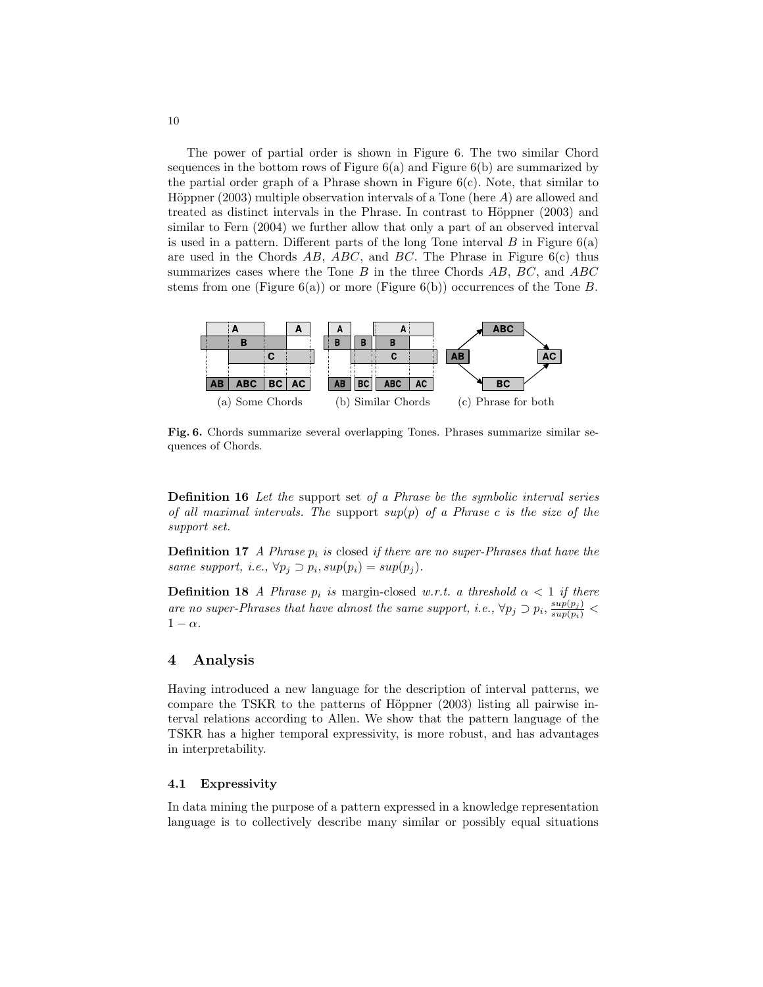The power of partial order is shown in Figure 6. The two similar Chord sequences in the bottom rows of Figure  $6(a)$  and Figure  $6(b)$  are summarized by the partial order graph of a Phrase shown in Figure  $6(c)$ . Note, that similar to Höppner (2003) multiple observation intervals of a Tone (here  $A$ ) are allowed and treated as distinct intervals in the Phrase. In contrast to Höppner  $(2003)$  and similar to Fern (2004) we further allow that only a part of an observed interval is used in a pattern. Different parts of the long Tone interval  $B$  in Figure  $6(a)$ are used in the Chords  $AB$ ,  $ABC$ , and  $BC$ . The Phrase in Figure  $6(c)$  thus summarizes cases where the Tone  $B$  in the three Chords  $AB$ ,  $BC$ , and  $ABC$ stems from one (Figure 6(a)) or more (Figure 6(b)) occurrences of the Tone  $B$ .



Fig. 6. Chords summarize several overlapping Tones. Phrases summarize similar sequences of Chords.

Definition 16 Let the support set of a Phrase be the symbolic interval series of all maximal intervals. The support  $sup(p)$  of a Phrase c is the size of the support set.

**Definition 17** A Phrase  $p_i$  is closed if there are no super-Phrases that have the same support, i.e.,  $\forall p_j \supset p_i$ ,  $sup(p_i) = sup(p_j)$ .

**Definition 18** A Phrase  $p_i$  is margin-closed w.r.t. a threshold  $\alpha < 1$  if there are no super-Phrases that have almost the same support, i.e.,  $\forall p_j \supset p_i$ ,  $\frac{sup(p_j)}{sup(p_i)}$  <  $1 - \alpha$ .

### 4 Analysis

Having introduced a new language for the description of interval patterns, we compare the TSKR to the patterns of Höppner (2003) listing all pairwise interval relations according to Allen. We show that the pattern language of the TSKR has a higher temporal expressivity, is more robust, and has advantages in interpretability.

#### 4.1 Expressivity

In data mining the purpose of a pattern expressed in a knowledge representation language is to collectively describe many similar or possibly equal situations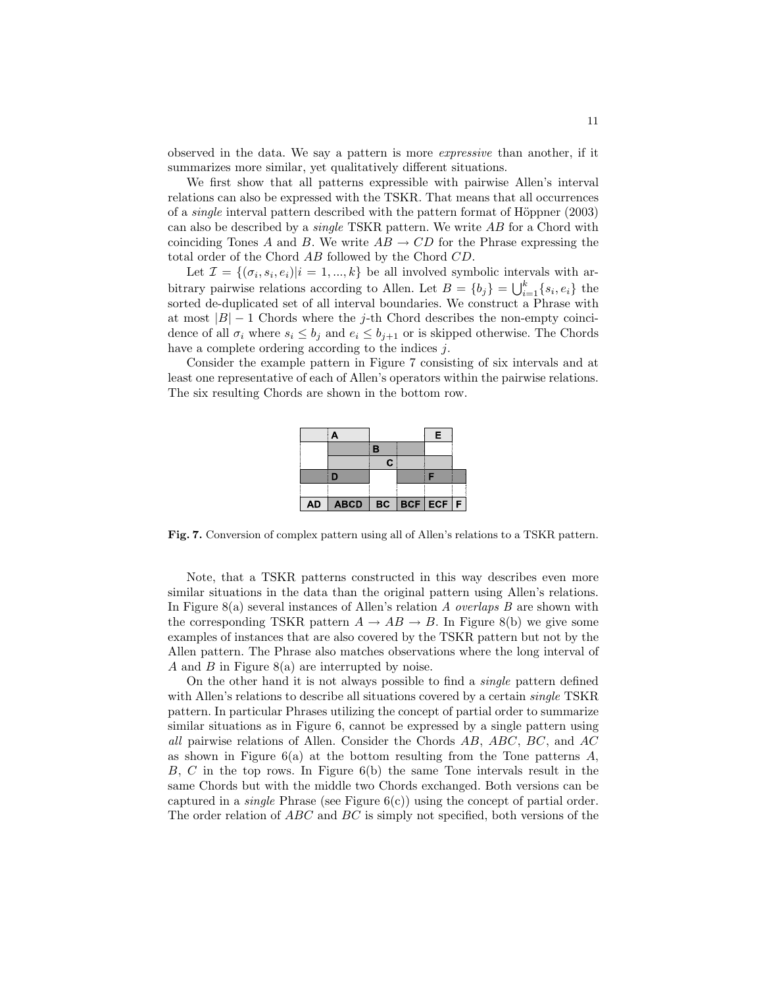observed in the data. We say a pattern is more expressive than another, if it summarizes more similar, yet qualitatively different situations.

We first show that all patterns expressible with pairwise Allen's interval relations can also be expressed with the TSKR. That means that all occurrences of a *single* interval pattern described with the pattern format of Höppner  $(2003)$ can also be described by a single TSKR pattern. We write AB for a Chord with coinciding Tones A and B. We write  $AB \rightarrow CD$  for the Phrase expressing the total order of the Chord AB followed by the Chord CD.

Let  $\mathcal{I} = \{(\sigma_i, s_i, e_i) | i = 1, ..., k\}$  be all involved symbolic intervals with arbitrary pairwise relations according to Allen. Let  $B = \{b_j\} = \bigcup_{i=1}^k \{s_i, e_i\}$  the sorted de-duplicated set of all interval boundaries. We construct a Phrase with at most  $|B|-1$  Chords where the j-th Chord describes the non-empty coincidence of all  $\sigma_i$  where  $s_i \leq b_j$  and  $e_i \leq b_{j+1}$  or is skipped otherwise. The Chords have a complete ordering according to the indices j.

Consider the example pattern in Figure 7 consisting of six intervals and at least one representative of each of Allen's operators within the pairwise relations. The six resulting Chords are shown in the bottom row.



Fig. 7. Conversion of complex pattern using all of Allen's relations to a TSKR pattern.

Note, that a TSKR patterns constructed in this way describes even more similar situations in the data than the original pattern using Allen's relations. In Figure 8(a) several instances of Allen's relation A overlaps B are shown with the corresponding TSKR pattern  $A \to AB \to B$ . In Figure 8(b) we give some examples of instances that are also covered by the TSKR pattern but not by the Allen pattern. The Phrase also matches observations where the long interval of A and B in Figure  $8(a)$  are interrupted by noise.

On the other hand it is not always possible to find a single pattern defined with Allen's relations to describe all situations covered by a certain *single* TSKR pattern. In particular Phrases utilizing the concept of partial order to summarize similar situations as in Figure 6, cannot be expressed by a single pattern using all pairwise relations of Allen. Consider the Chords AB, ABC, BC, and AC as shown in Figure  $6(a)$  at the bottom resulting from the Tone patterns A,  $B, C$  in the top rows. In Figure 6(b) the same Tone intervals result in the same Chords but with the middle two Chords exchanged. Both versions can be captured in a *single* Phrase (see Figure  $6(c)$ ) using the concept of partial order. The order relation of ABC and BC is simply not specified, both versions of the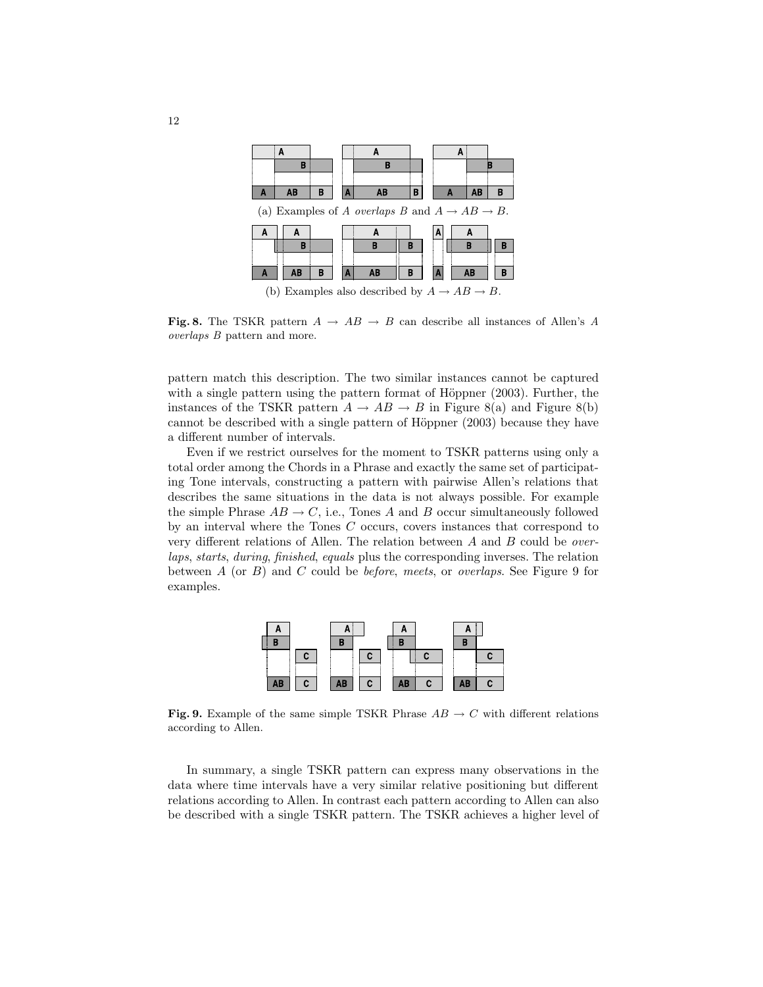

Fig. 8. The TSKR pattern  $A \rightarrow AB \rightarrow B$  can describe all instances of Allen's A overlaps B pattern and more.

pattern match this description. The two similar instances cannot be captured with a single pattern using the pattern format of Höppner  $(2003)$ . Further, the instances of the TSKR pattern  $A \to AB \to B$  in Figure 8(a) and Figure 8(b) cannot be described with a single pattern of Höppner  $(2003)$  because they have a different number of intervals.

Even if we restrict ourselves for the moment to TSKR patterns using only a total order among the Chords in a Phrase and exactly the same set of participating Tone intervals, constructing a pattern with pairwise Allen's relations that describes the same situations in the data is not always possible. For example the simple Phrase  $AB \to C$ , i.e., Tones A and B occur simultaneously followed by an interval where the Tones C occurs, covers instances that correspond to very different relations of Allen. The relation between A and B could be overlaps, starts, during, finished, equals plus the corresponding inverses. The relation between A (or B) and C could be *before, meets,* or *overlaps*. See Figure 9 for examples.



Fig. 9. Example of the same simple TSKR Phrase  $AB \rightarrow C$  with different relations according to Allen.

In summary, a single TSKR pattern can express many observations in the data where time intervals have a very similar relative positioning but different relations according to Allen. In contrast each pattern according to Allen can also be described with a single TSKR pattern. The TSKR achieves a higher level of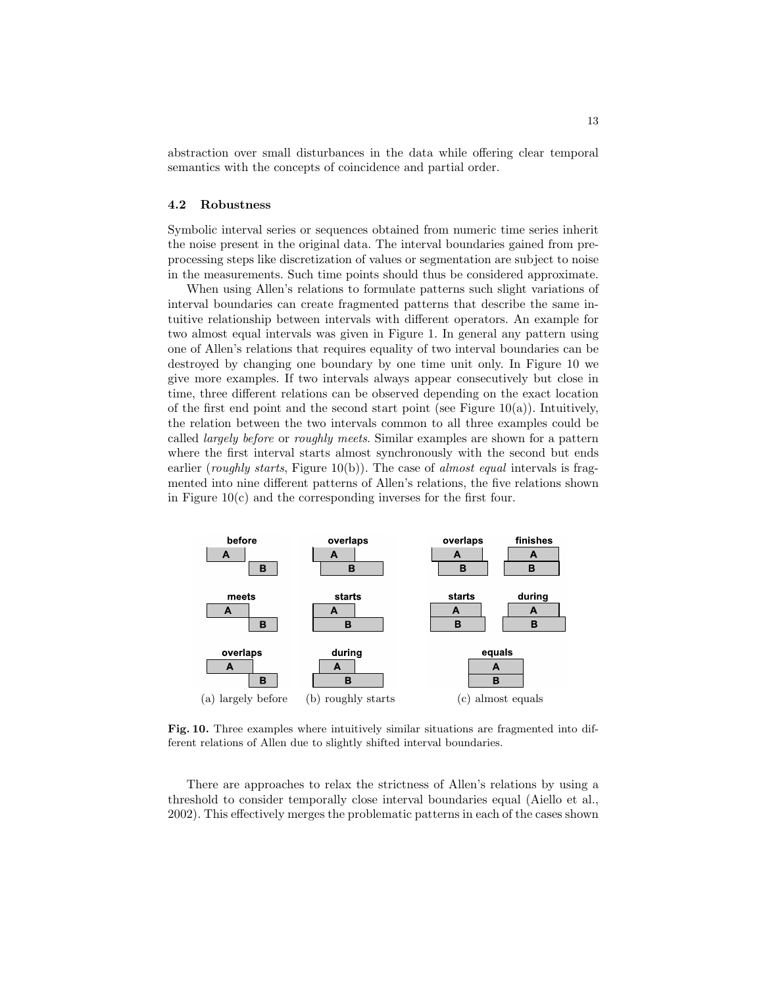abstraction over small disturbances in the data while offering clear temporal semantics with the concepts of coincidence and partial order.

#### 4.2 Robustness

Symbolic interval series or sequences obtained from numeric time series inherit the noise present in the original data. The interval boundaries gained from preprocessing steps like discretization of values or segmentation are subject to noise in the measurements. Such time points should thus be considered approximate.

When using Allen's relations to formulate patterns such slight variations of interval boundaries can create fragmented patterns that describe the same intuitive relationship between intervals with different operators. An example for two almost equal intervals was given in Figure 1. In general any pattern using one of Allen's relations that requires equality of two interval boundaries can be destroyed by changing one boundary by one time unit only. In Figure 10 we give more examples. If two intervals always appear consecutively but close in time, three different relations can be observed depending on the exact location of the first end point and the second start point (see Figure 10(a)). Intuitively, the relation between the two intervals common to all three examples could be called largely before or roughly meets. Similar examples are shown for a pattern where the first interval starts almost synchronously with the second but ends earlier (roughly starts, Figure 10(b)). The case of almost equal intervals is fragmented into nine different patterns of Allen's relations, the five relations shown in Figure  $10(c)$  and the corresponding inverses for the first four.



Fig. 10. Three examples where intuitively similar situations are fragmented into different relations of Allen due to slightly shifted interval boundaries.

There are approaches to relax the strictness of Allen's relations by using a threshold to consider temporally close interval boundaries equal (Aiello et al., 2002). This effectively merges the problematic patterns in each of the cases shown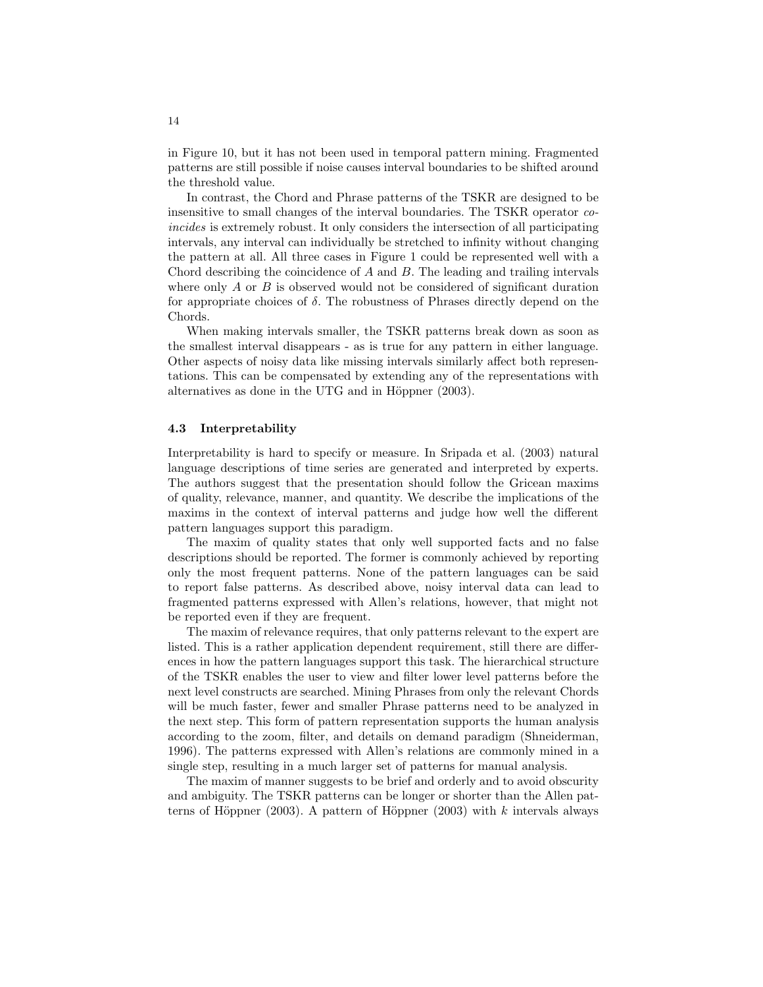in Figure 10, but it has not been used in temporal pattern mining. Fragmented patterns are still possible if noise causes interval boundaries to be shifted around the threshold value.

In contrast, the Chord and Phrase patterns of the TSKR are designed to be insensitive to small changes of the interval boundaries. The TSKR operator coincides is extremely robust. It only considers the intersection of all participating intervals, any interval can individually be stretched to infinity without changing the pattern at all. All three cases in Figure 1 could be represented well with a Chord describing the coincidence of A and B. The leading and trailing intervals where only  $A$  or  $B$  is observed would not be considered of significant duration for appropriate choices of  $\delta$ . The robustness of Phrases directly depend on the Chords.

When making intervals smaller, the TSKR patterns break down as soon as the smallest interval disappears - as is true for any pattern in either language. Other aspects of noisy data like missing intervals similarly affect both representations. This can be compensated by extending any of the representations with alternatives as done in the UTG and in Höppner  $(2003)$ .

#### 4.3 Interpretability

Interpretability is hard to specify or measure. In Sripada et al. (2003) natural language descriptions of time series are generated and interpreted by experts. The authors suggest that the presentation should follow the Gricean maxims of quality, relevance, manner, and quantity. We describe the implications of the maxims in the context of interval patterns and judge how well the different pattern languages support this paradigm.

The maxim of quality states that only well supported facts and no false descriptions should be reported. The former is commonly achieved by reporting only the most frequent patterns. None of the pattern languages can be said to report false patterns. As described above, noisy interval data can lead to fragmented patterns expressed with Allen's relations, however, that might not be reported even if they are frequent.

The maxim of relevance requires, that only patterns relevant to the expert are listed. This is a rather application dependent requirement, still there are differences in how the pattern languages support this task. The hierarchical structure of the TSKR enables the user to view and filter lower level patterns before the next level constructs are searched. Mining Phrases from only the relevant Chords will be much faster, fewer and smaller Phrase patterns need to be analyzed in the next step. This form of pattern representation supports the human analysis according to the zoom, filter, and details on demand paradigm (Shneiderman, 1996). The patterns expressed with Allen's relations are commonly mined in a single step, resulting in a much larger set of patterns for manual analysis.

The maxim of manner suggests to be brief and orderly and to avoid obscurity and ambiguity. The TSKR patterns can be longer or shorter than the Allen patterns of Höppner (2003). A pattern of Höppner (2003) with k intervals always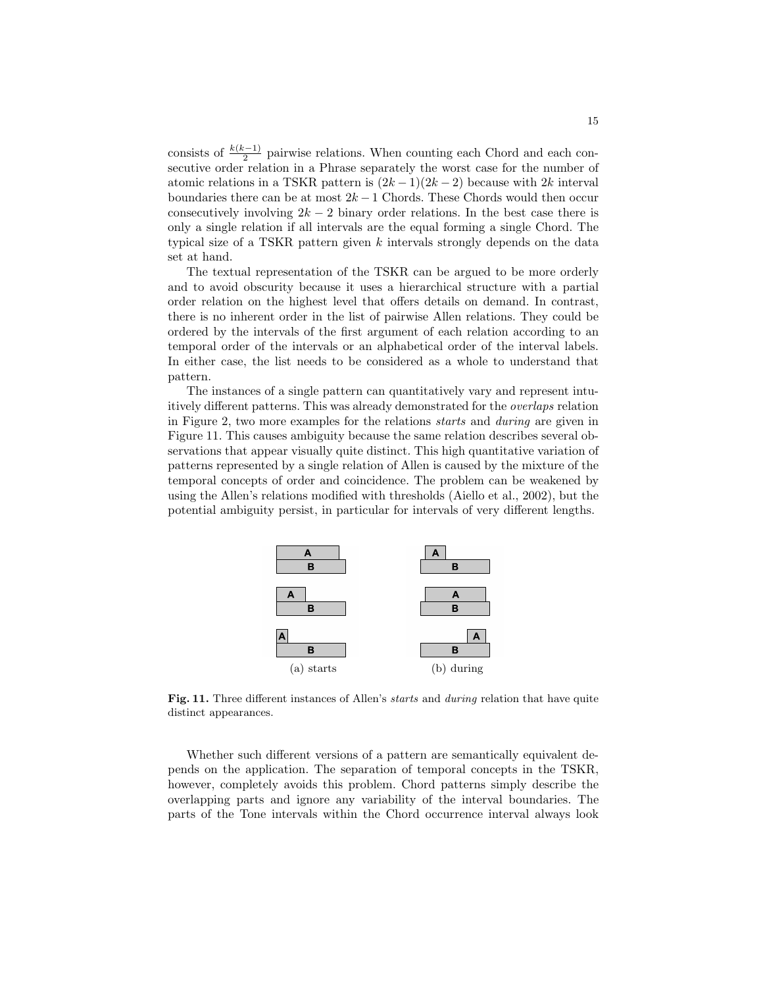consists of  $\frac{k(k-1)}{2}$  pairwise relations. When counting each Chord and each consecutive order relation in a Phrase separately the worst case for the number of atomic relations in a TSKR pattern is  $(2k-1)(2k-2)$  because with 2k interval boundaries there can be at most  $2k - 1$  Chords. These Chords would then occur consecutively involving  $2k - 2$  binary order relations. In the best case there is only a single relation if all intervals are the equal forming a single Chord. The typical size of a TSKR pattern given k intervals strongly depends on the data set at hand.

The textual representation of the TSKR can be argued to be more orderly and to avoid obscurity because it uses a hierarchical structure with a partial order relation on the highest level that offers details on demand. In contrast, there is no inherent order in the list of pairwise Allen relations. They could be ordered by the intervals of the first argument of each relation according to an temporal order of the intervals or an alphabetical order of the interval labels. In either case, the list needs to be considered as a whole to understand that pattern.

The instances of a single pattern can quantitatively vary and represent intuitively different patterns. This was already demonstrated for the overlaps relation in Figure 2, two more examples for the relations starts and during are given in Figure 11. This causes ambiguity because the same relation describes several observations that appear visually quite distinct. This high quantitative variation of patterns represented by a single relation of Allen is caused by the mixture of the temporal concepts of order and coincidence. The problem can be weakened by using the Allen's relations modified with thresholds (Aiello et al., 2002), but the potential ambiguity persist, in particular for intervals of very different lengths.



Fig. 11. Three different instances of Allen's *starts* and *during* relation that have quite distinct appearances.

Whether such different versions of a pattern are semantically equivalent depends on the application. The separation of temporal concepts in the TSKR, however, completely avoids this problem. Chord patterns simply describe the overlapping parts and ignore any variability of the interval boundaries. The parts of the Tone intervals within the Chord occurrence interval always look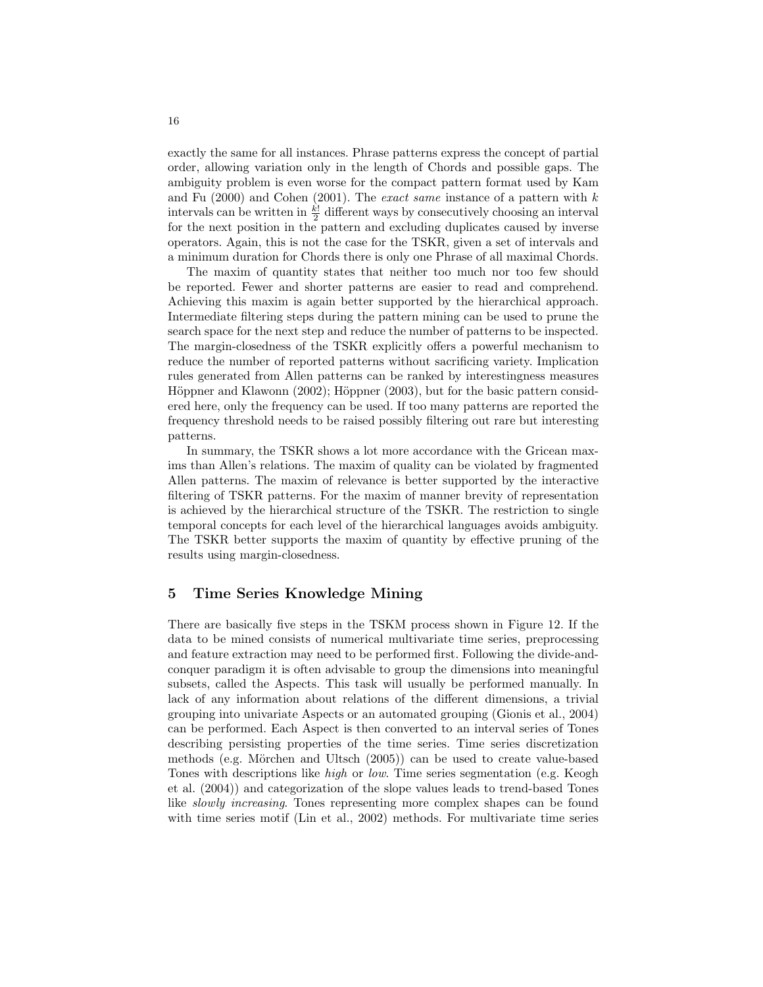exactly the same for all instances. Phrase patterns express the concept of partial order, allowing variation only in the length of Chords and possible gaps. The ambiguity problem is even worse for the compact pattern format used by Kam and Fu (2000) and Cohen (2001). The exact same instance of a pattern with  $k$ intervals can be written in  $\frac{k!}{2}$  different ways by consecutively choosing an interval for the next position in the pattern and excluding duplicates caused by inverse operators. Again, this is not the case for the TSKR, given a set of intervals and a minimum duration for Chords there is only one Phrase of all maximal Chords.

The maxim of quantity states that neither too much nor too few should be reported. Fewer and shorter patterns are easier to read and comprehend. Achieving this maxim is again better supported by the hierarchical approach. Intermediate filtering steps during the pattern mining can be used to prune the search space for the next step and reduce the number of patterns to be inspected. The margin-closedness of the TSKR explicitly offers a powerful mechanism to reduce the number of reported patterns without sacrificing variety. Implication rules generated from Allen patterns can be ranked by interestingness measures Höppner and Klawonn  $(2002)$ ; Höppner  $(2003)$ , but for the basic pattern considered here, only the frequency can be used. If too many patterns are reported the frequency threshold needs to be raised possibly filtering out rare but interesting patterns.

In summary, the TSKR shows a lot more accordance with the Gricean maxims than Allen's relations. The maxim of quality can be violated by fragmented Allen patterns. The maxim of relevance is better supported by the interactive filtering of TSKR patterns. For the maxim of manner brevity of representation is achieved by the hierarchical structure of the TSKR. The restriction to single temporal concepts for each level of the hierarchical languages avoids ambiguity. The TSKR better supports the maxim of quantity by effective pruning of the results using margin-closedness.

# 5 Time Series Knowledge Mining

There are basically five steps in the TSKM process shown in Figure 12. If the data to be mined consists of numerical multivariate time series, preprocessing and feature extraction may need to be performed first. Following the divide-andconquer paradigm it is often advisable to group the dimensions into meaningful subsets, called the Aspects. This task will usually be performed manually. In lack of any information about relations of the different dimensions, a trivial grouping into univariate Aspects or an automated grouping (Gionis et al., 2004) can be performed. Each Aspect is then converted to an interval series of Tones describing persisting properties of the time series. Time series discretization methods (e.g. Mörchen and Ultsch (2005)) can be used to create value-based Tones with descriptions like high or low. Time series segmentation (e.g. Keogh et al. (2004)) and categorization of the slope values leads to trend-based Tones like *slowly increasing*. Tones representing more complex shapes can be found with time series motif (Lin et al., 2002) methods. For multivariate time series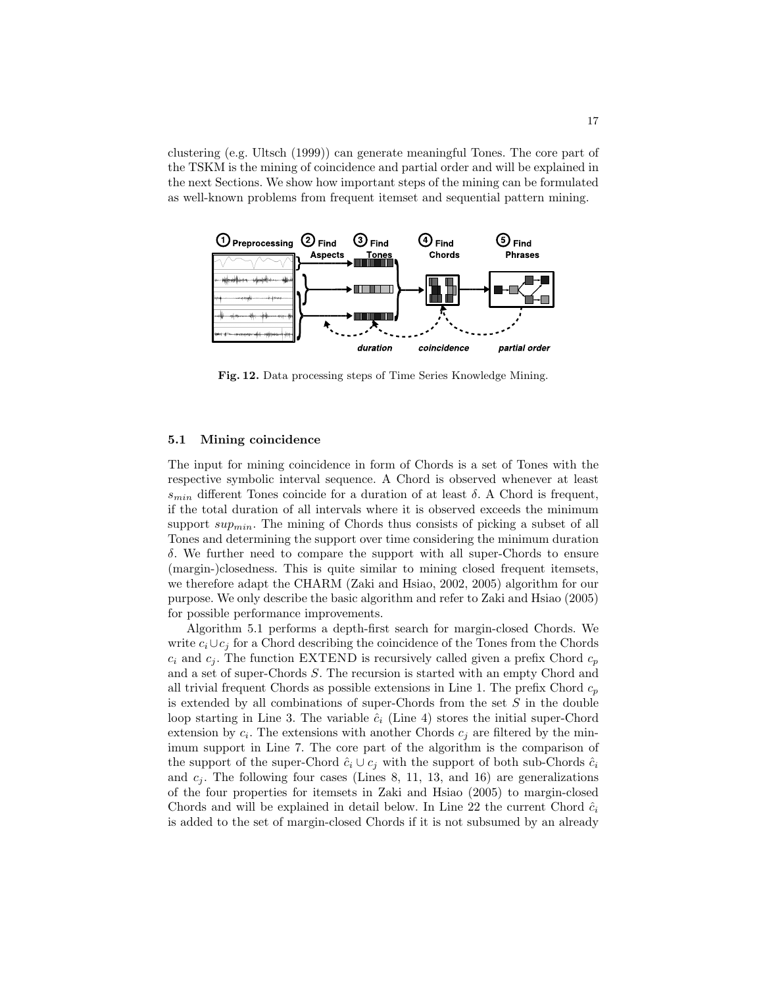clustering (e.g. Ultsch (1999)) can generate meaningful Tones. The core part of the TSKM is the mining of coincidence and partial order and will be explained in the next Sections. We show how important steps of the mining can be formulated as well-known problems from frequent itemset and sequential pattern mining.



Fig. 12. Data processing steps of Time Series Knowledge Mining.

#### 5.1 Mining coincidence

The input for mining coincidence in form of Chords is a set of Tones with the respective symbolic interval sequence. A Chord is observed whenever at least  $s_{min}$  different Tones coincide for a duration of at least  $\delta$ . A Chord is frequent, if the total duration of all intervals where it is observed exceeds the minimum support  $sup_{min}$ . The mining of Chords thus consists of picking a subset of all Tones and determining the support over time considering the minimum duration δ. We further need to compare the support with all super-Chords to ensure (margin-)closedness. This is quite similar to mining closed frequent itemsets, we therefore adapt the CHARM (Zaki and Hsiao, 2002, 2005) algorithm for our purpose. We only describe the basic algorithm and refer to Zaki and Hsiao (2005) for possible performance improvements.

Algorithm 5.1 performs a depth-first search for margin-closed Chords. We write  $c_i \cup c_j$  for a Chord describing the coincidence of the Tones from the Chords  $c_i$  and  $c_j$ . The function EXTEND is recursively called given a prefix Chord  $c_p$ and a set of super-Chords S. The recursion is started with an empty Chord and all trivial frequent Chords as possible extensions in Line 1. The prefix Chord  $c_p$ is extended by all combinations of super-Chords from the set S in the double loop starting in Line 3. The variable  $\hat{c}_i$  (Line 4) stores the initial super-Chord extension by  $c_i$ . The extensions with another Chords  $c_j$  are filtered by the minimum support in Line 7. The core part of the algorithm is the comparison of the support of the super-Chord  $\hat{c}_i \cup c_j$  with the support of both sub-Chords  $\hat{c}_i$ and  $c_i$ . The following four cases (Lines 8, 11, 13, and 16) are generalizations of the four properties for itemsets in Zaki and Hsiao (2005) to margin-closed Chords and will be explained in detail below. In Line 22 the current Chord  $\hat{c}_i$ is added to the set of margin-closed Chords if it is not subsumed by an already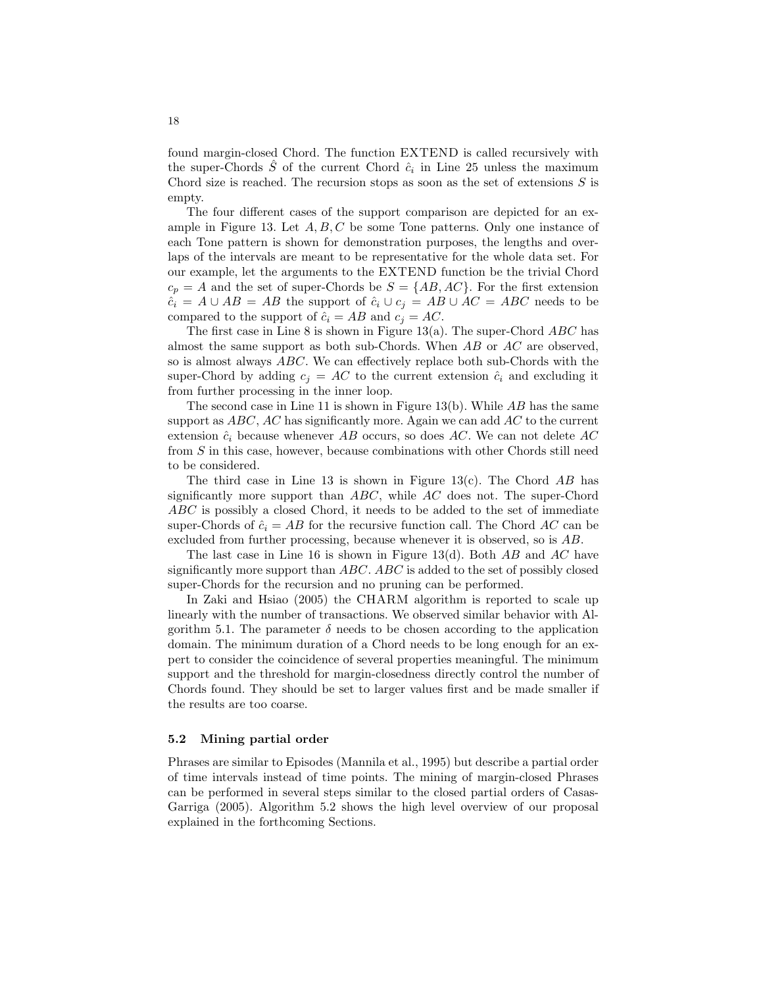found margin-closed Chord. The function EXTEND is called recursively with the super-Chords  $\hat{S}$  of the current Chord  $\hat{c}_i$  in Line 25 unless the maximum Chord size is reached. The recursion stops as soon as the set of extensions  $S$  is empty.

The four different cases of the support comparison are depicted for an example in Figure 13. Let  $A, B, C$  be some Tone patterns. Only one instance of each Tone pattern is shown for demonstration purposes, the lengths and overlaps of the intervals are meant to be representative for the whole data set. For our example, let the arguments to the EXTEND function be the trivial Chord  $c_p = A$  and the set of super-Chords be  $S = \{AB, AC\}$ . For the first extension  $\hat{c}_i = A \cup AB = AB$  the support of  $\hat{c}_i \cup c_j = AB \cup AC = ABC$  needs to be compared to the support of  $\hat{c}_i = AB$  and  $c_i = AC$ .

The first case in Line 8 is shown in Figure 13(a). The super-Chord  $ABC$  has almost the same support as both sub-Chords. When AB or AC are observed, so is almost always ABC. We can effectively replace both sub-Chords with the super-Chord by adding  $c_j = AC$  to the current extension  $\hat{c}_i$  and excluding it from further processing in the inner loop.

The second case in Line 11 is shown in Figure 13(b). While  $AB$  has the same support as  $ABC$ ,  $AC$  has significantly more. Again we can add  $AC$  to the current extension  $\hat{c}_i$  because whenever AB occurs, so does AC. We can not delete AC from S in this case, however, because combinations with other Chords still need to be considered.

The third case in Line 13 is shown in Figure 13(c). The Chord  $AB$  has significantly more support than ABC, while AC does not. The super-Chord ABC is possibly a closed Chord, it needs to be added to the set of immediate super-Chords of  $\hat{c}_i = AB$  for the recursive function call. The Chord AC can be excluded from further processing, because whenever it is observed, so is AB.

The last case in Line 16 is shown in Figure 13(d). Both  $AB$  and  $AC$  have significantly more support than ABC. ABC is added to the set of possibly closed super-Chords for the recursion and no pruning can be performed.

In Zaki and Hsiao (2005) the CHARM algorithm is reported to scale up linearly with the number of transactions. We observed similar behavior with Algorithm 5.1. The parameter  $\delta$  needs to be chosen according to the application domain. The minimum duration of a Chord needs to be long enough for an expert to consider the coincidence of several properties meaningful. The minimum support and the threshold for margin-closedness directly control the number of Chords found. They should be set to larger values first and be made smaller if the results are too coarse.

#### 5.2 Mining partial order

Phrases are similar to Episodes (Mannila et al., 1995) but describe a partial order of time intervals instead of time points. The mining of margin-closed Phrases can be performed in several steps similar to the closed partial orders of Casas-Garriga (2005). Algorithm 5.2 shows the high level overview of our proposal explained in the forthcoming Sections.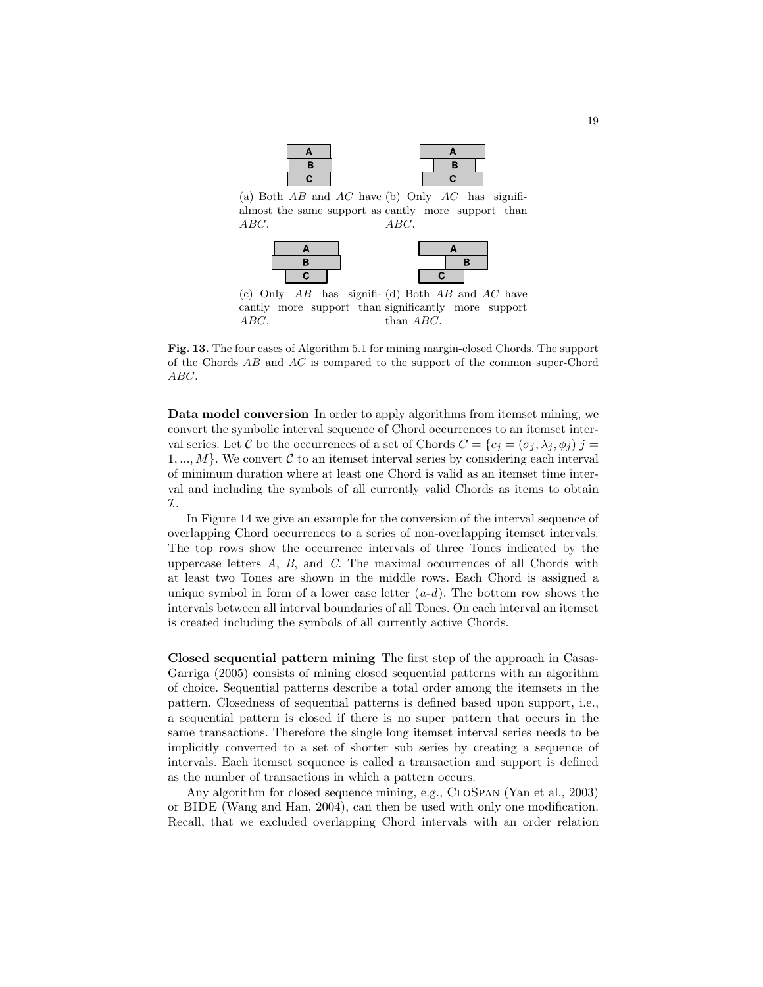

(a) Both  $AB$  and  $AC$  have (b) Only  $AC$  has signifialmost the same support as cantly more support than ABC. ABC.



(c) Only  $AB$  has signifi- (d) Both  $AB$  and  $AC$  have cantly more support than significantly more support ABC. than ABC.

Fig. 13. The four cases of Algorithm 5.1 for mining margin-closed Chords. The support of the Chords AB and AC is compared to the support of the common super-Chord ABC.

Data model conversion In order to apply algorithms from itemset mining, we convert the symbolic interval sequence of Chord occurrences to an itemset interval series. Let C be the occurrences of a set of Chords  $C = \{c_j = (\sigma_j, \lambda_j, \phi_j) | j =$  $1, ..., M$ . We convert C to an itemset interval series by considering each interval of minimum duration where at least one Chord is valid as an itemset time interval and including the symbols of all currently valid Chords as items to obtain I.

In Figure 14 we give an example for the conversion of the interval sequence of overlapping Chord occurrences to a series of non-overlapping itemset intervals. The top rows show the occurrence intervals of three Tones indicated by the uppercase letters  $A, B$ , and  $C$ . The maximal occurrences of all Chords with at least two Tones are shown in the middle rows. Each Chord is assigned a unique symbol in form of a lower case letter  $(a-d)$ . The bottom row shows the intervals between all interval boundaries of all Tones. On each interval an itemset is created including the symbols of all currently active Chords.

Closed sequential pattern mining The first step of the approach in Casas-Garriga (2005) consists of mining closed sequential patterns with an algorithm of choice. Sequential patterns describe a total order among the itemsets in the pattern. Closedness of sequential patterns is defined based upon support, i.e., a sequential pattern is closed if there is no super pattern that occurs in the same transactions. Therefore the single long itemset interval series needs to be implicitly converted to a set of shorter sub series by creating a sequence of intervals. Each itemset sequence is called a transaction and support is defined as the number of transactions in which a pattern occurs.

Any algorithm for closed sequence mining, e.g., CloSpan (Yan et al., 2003) or BIDE (Wang and Han, 2004), can then be used with only one modification. Recall, that we excluded overlapping Chord intervals with an order relation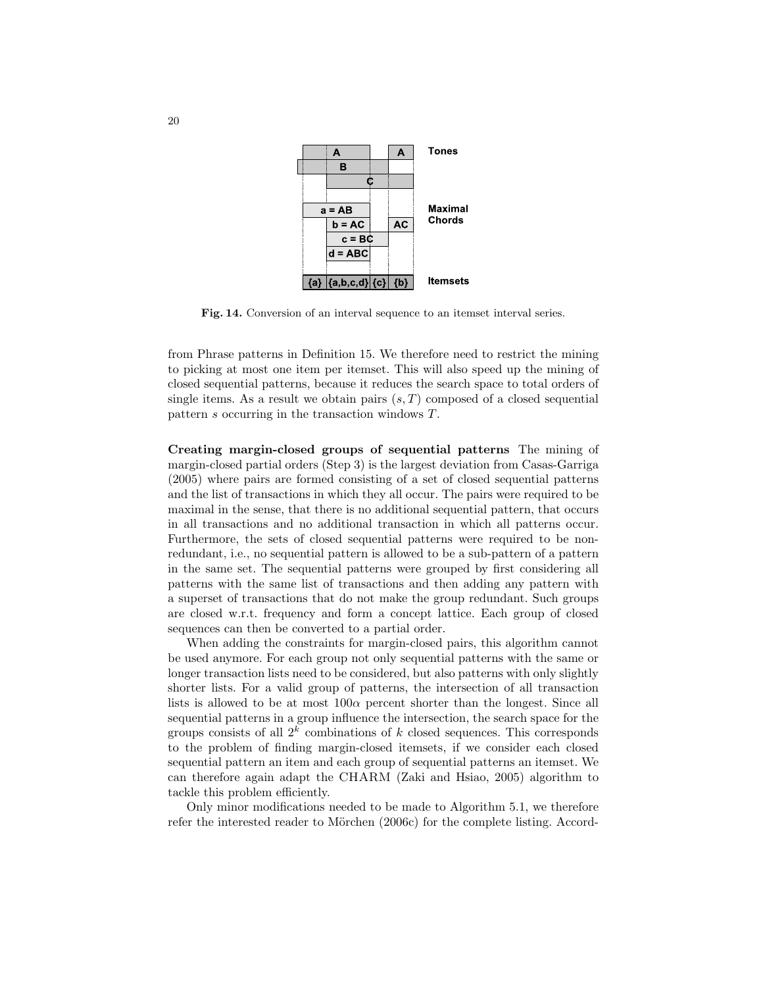

Fig. 14. Conversion of an interval sequence to an itemset interval series.

from Phrase patterns in Definition 15. We therefore need to restrict the mining to picking at most one item per itemset. This will also speed up the mining of closed sequential patterns, because it reduces the search space to total orders of single items. As a result we obtain pairs  $(s, T)$  composed of a closed sequential pattern s occurring in the transaction windows T.

Creating margin-closed groups of sequential patterns The mining of margin-closed partial orders (Step 3) is the largest deviation from Casas-Garriga (2005) where pairs are formed consisting of a set of closed sequential patterns and the list of transactions in which they all occur. The pairs were required to be maximal in the sense, that there is no additional sequential pattern, that occurs in all transactions and no additional transaction in which all patterns occur. Furthermore, the sets of closed sequential patterns were required to be nonredundant, i.e., no sequential pattern is allowed to be a sub-pattern of a pattern in the same set. The sequential patterns were grouped by first considering all patterns with the same list of transactions and then adding any pattern with a superset of transactions that do not make the group redundant. Such groups are closed w.r.t. frequency and form a concept lattice. Each group of closed sequences can then be converted to a partial order.

When adding the constraints for margin-closed pairs, this algorithm cannot be used anymore. For each group not only sequential patterns with the same or longer transaction lists need to be considered, but also patterns with only slightly shorter lists. For a valid group of patterns, the intersection of all transaction lists is allowed to be at most  $100\alpha$  percent shorter than the longest. Since all sequential patterns in a group influence the intersection, the search space for the groups consists of all  $2^k$  combinations of k closed sequences. This corresponds to the problem of finding margin-closed itemsets, if we consider each closed sequential pattern an item and each group of sequential patterns an itemset. We can therefore again adapt the CHARM (Zaki and Hsiao, 2005) algorithm to tackle this problem efficiently.

Only minor modifications needed to be made to Algorithm 5.1, we therefore refer the interested reader to Mörchen (2006c) for the complete listing. Accord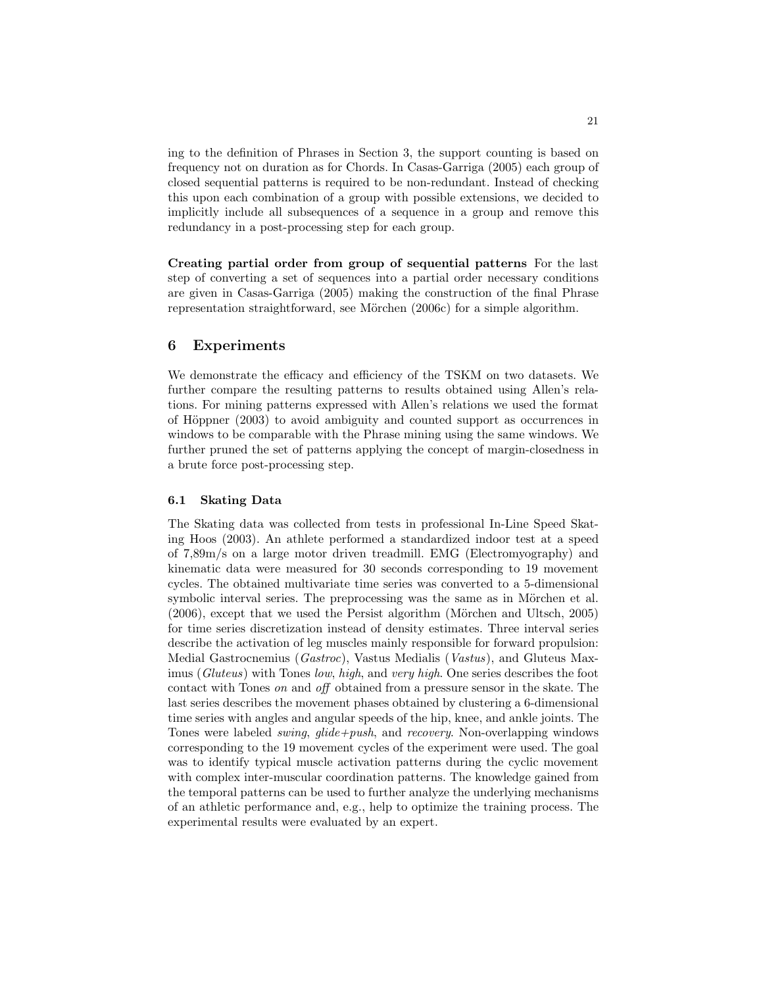ing to the definition of Phrases in Section 3, the support counting is based on frequency not on duration as for Chords. In Casas-Garriga (2005) each group of closed sequential patterns is required to be non-redundant. Instead of checking this upon each combination of a group with possible extensions, we decided to implicitly include all subsequences of a sequence in a group and remove this redundancy in a post-processing step for each group.

Creating partial order from group of sequential patterns For the last step of converting a set of sequences into a partial order necessary conditions are given in Casas-Garriga (2005) making the construction of the final Phrase representation straightforward, see Mörchen (2006c) for a simple algorithm.

# 6 Experiments

We demonstrate the efficacy and efficiency of the TSKM on two datasets. We further compare the resulting patterns to results obtained using Allen's relations. For mining patterns expressed with Allen's relations we used the format of Höppner  $(2003)$  to avoid ambiguity and counted support as occurrences in windows to be comparable with the Phrase mining using the same windows. We further pruned the set of patterns applying the concept of margin-closedness in a brute force post-processing step.

#### 6.1 Skating Data

The Skating data was collected from tests in professional In-Line Speed Skating Hoos (2003). An athlete performed a standardized indoor test at a speed of 7,89m/s on a large motor driven treadmill. EMG (Electromyography) and kinematic data were measured for 30 seconds corresponding to 19 movement cycles. The obtained multivariate time series was converted to a 5-dimensional symbolic interval series. The preprocessing was the same as in Mörchen et al.  $(2006)$ , except that we used the Persist algorithm (Mörchen and Ultsch, 2005) for time series discretization instead of density estimates. Three interval series describe the activation of leg muscles mainly responsible for forward propulsion: Medial Gastrocnemius (Gastroc), Vastus Medialis (Vastus), and Gluteus Maximus (Gluteus) with Tones low, high, and very high. One series describes the foot contact with Tones on and off obtained from a pressure sensor in the skate. The last series describes the movement phases obtained by clustering a 6-dimensional time series with angles and angular speeds of the hip, knee, and ankle joints. The Tones were labeled swing, glide+push, and recovery. Non-overlapping windows corresponding to the 19 movement cycles of the experiment were used. The goal was to identify typical muscle activation patterns during the cyclic movement with complex inter-muscular coordination patterns. The knowledge gained from the temporal patterns can be used to further analyze the underlying mechanisms of an athletic performance and, e.g., help to optimize the training process. The experimental results were evaluated by an expert.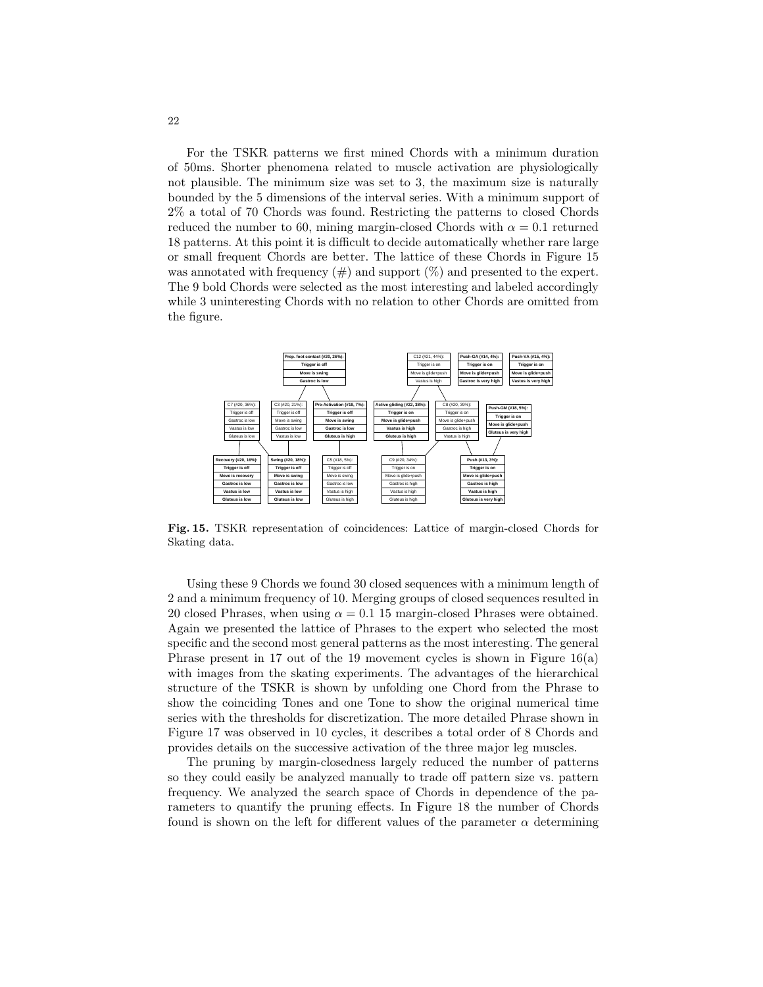For the TSKR patterns we first mined Chords with a minimum duration of 50ms. Shorter phenomena related to muscle activation are physiologically not plausible. The minimum size was set to 3, the maximum size is naturally bounded by the 5 dimensions of the interval series. With a minimum support of 2% a total of 70 Chords was found. Restricting the patterns to closed Chords reduced the number to 60, mining margin-closed Chords with  $\alpha = 0.1$  returned 18 patterns. At this point it is difficult to decide automatically whether rare large or small frequent Chords are better. The lattice of these Chords in Figure 15 was annotated with frequency  $(\#)$  and support  $(\%)$  and presented to the expert. The 9 bold Chords were selected as the most interesting and labeled accordingly while 3 uninteresting Chords with no relation to other Chords are omitted from the figure.



Fig. 15. TSKR representation of coincidences: Lattice of margin-closed Chords for Skating data.

Using these 9 Chords we found 30 closed sequences with a minimum length of 2 and a minimum frequency of 10. Merging groups of closed sequences resulted in 20 closed Phrases, when using  $\alpha = 0.1$  15 margin-closed Phrases were obtained. Again we presented the lattice of Phrases to the expert who selected the most specific and the second most general patterns as the most interesting. The general Phrase present in 17 out of the 19 movement cycles is shown in Figure 16(a) with images from the skating experiments. The advantages of the hierarchical structure of the TSKR is shown by unfolding one Chord from the Phrase to show the coinciding Tones and one Tone to show the original numerical time series with the thresholds for discretization. The more detailed Phrase shown in Figure 17 was observed in 10 cycles, it describes a total order of 8 Chords and provides details on the successive activation of the three major leg muscles.

The pruning by margin-closedness largely reduced the number of patterns so they could easily be analyzed manually to trade off pattern size vs. pattern frequency. We analyzed the search space of Chords in dependence of the parameters to quantify the pruning effects. In Figure 18 the number of Chords found is shown on the left for different values of the parameter  $\alpha$  determining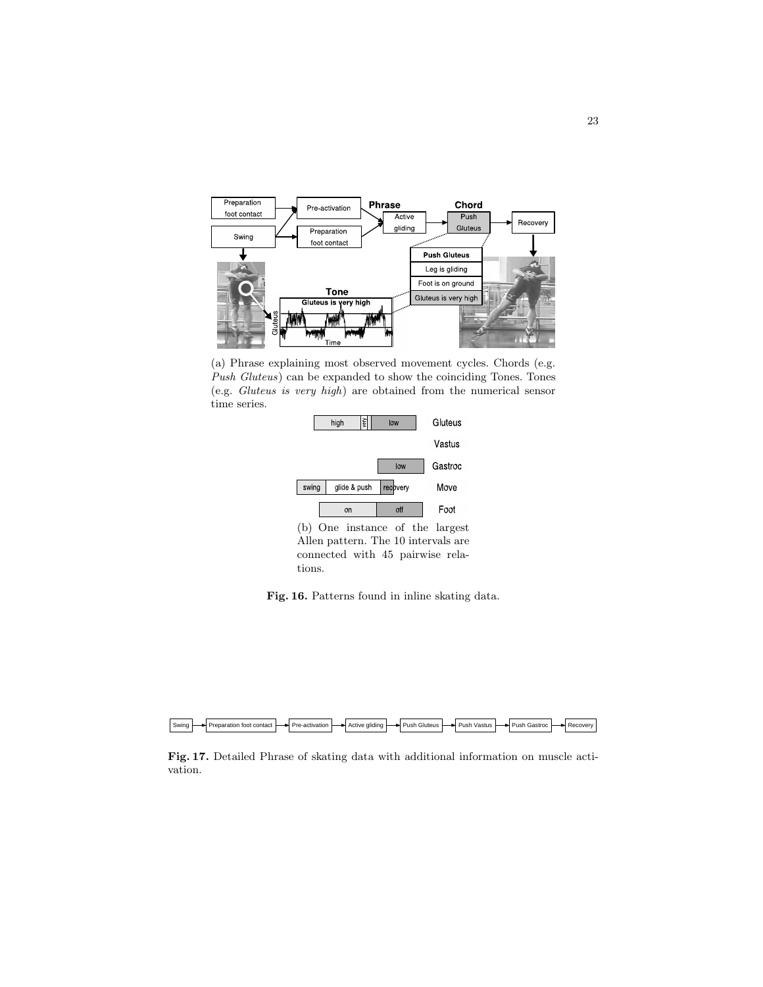

(a) Phrase explaining most observed movement cycles. Chords (e.g. Push Gluteus) can be expanded to show the coinciding Tones. Tones (e.g. Gluteus is very high) are obtained from the numerical sensor time series.



Fig. 16. Patterns found in inline skating data.

tions.



Fig. 17. Detailed Phrase of skating data with additional information on muscle activation.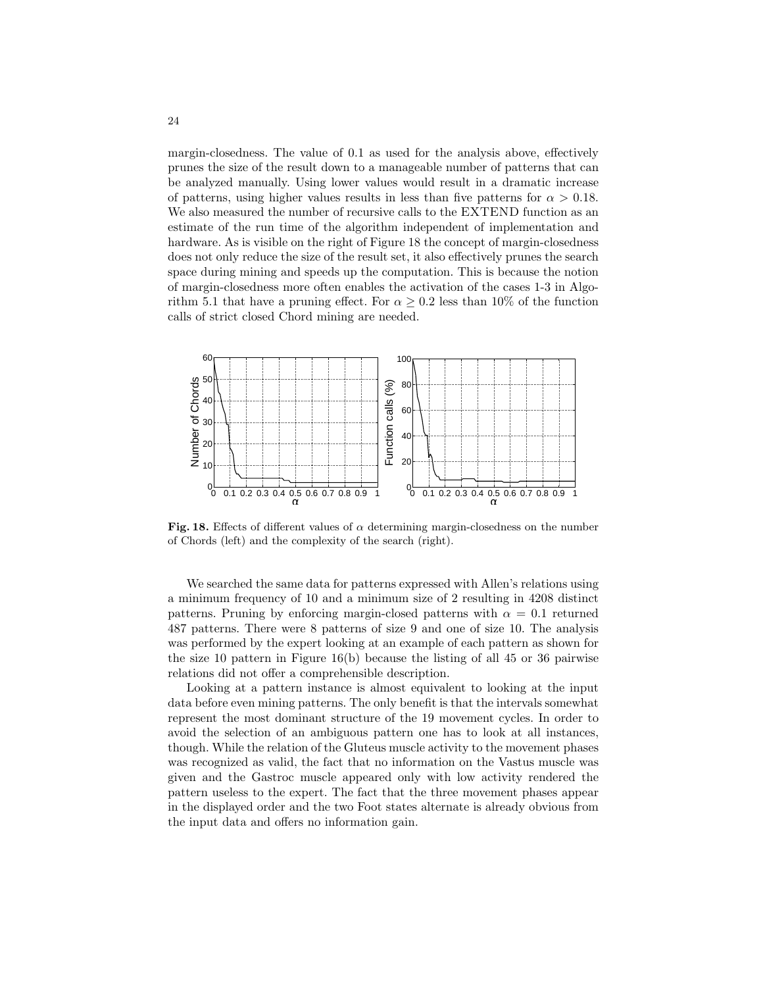margin-closedness. The value of 0.1 as used for the analysis above, effectively prunes the size of the result down to a manageable number of patterns that can be analyzed manually. Using lower values would result in a dramatic increase of patterns, using higher values results in less than five patterns for  $\alpha > 0.18$ . We also measured the number of recursive calls to the EXTEND function as an estimate of the run time of the algorithm independent of implementation and hardware. As is visible on the right of Figure 18 the concept of margin-closedness does not only reduce the size of the result set, it also effectively prunes the search space during mining and speeds up the computation. This is because the notion of margin-closedness more often enables the activation of the cases 1-3 in Algorithm 5.1 that have a pruning effect. For  $\alpha \geq 0.2$  less than 10% of the function calls of strict closed Chord mining are needed.



Fig. 18. Effects of different values of  $\alpha$  determining margin-closedness on the number of Chords (left) and the complexity of the search (right).

We searched the same data for patterns expressed with Allen's relations using a minimum frequency of 10 and a minimum size of 2 resulting in 4208 distinct patterns. Pruning by enforcing margin-closed patterns with  $\alpha = 0.1$  returned 487 patterns. There were 8 patterns of size 9 and one of size 10. The analysis was performed by the expert looking at an example of each pattern as shown for the size 10 pattern in Figure 16(b) because the listing of all 45 or 36 pairwise relations did not offer a comprehensible description.

Looking at a pattern instance is almost equivalent to looking at the input data before even mining patterns. The only benefit is that the intervals somewhat represent the most dominant structure of the 19 movement cycles. In order to avoid the selection of an ambiguous pattern one has to look at all instances, though. While the relation of the Gluteus muscle activity to the movement phases was recognized as valid, the fact that no information on the Vastus muscle was given and the Gastroc muscle appeared only with low activity rendered the pattern useless to the expert. The fact that the three movement phases appear in the displayed order and the two Foot states alternate is already obvious from the input data and offers no information gain.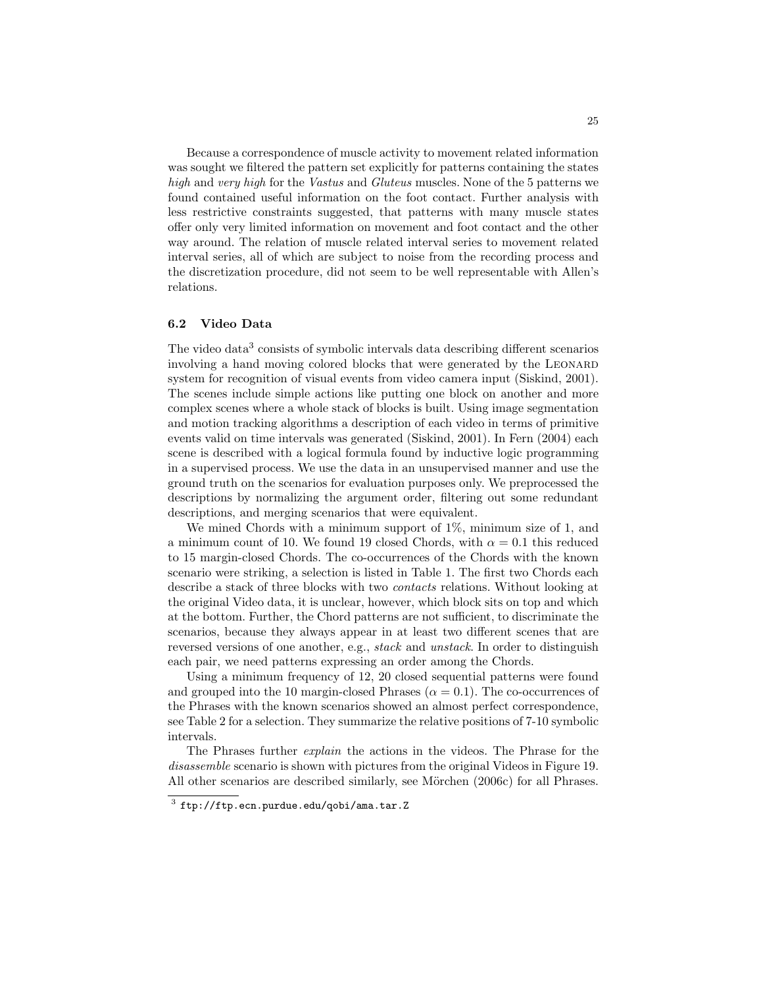Because a correspondence of muscle activity to movement related information was sought we filtered the pattern set explicitly for patterns containing the states high and very high for the Vastus and Gluteus muscles. None of the 5 patterns we found contained useful information on the foot contact. Further analysis with less restrictive constraints suggested, that patterns with many muscle states offer only very limited information on movement and foot contact and the other way around. The relation of muscle related interval series to movement related interval series, all of which are subject to noise from the recording process and the discretization procedure, did not seem to be well representable with Allen's relations.

#### 6.2 Video Data

The video data<sup>3</sup> consists of symbolic intervals data describing different scenarios involving a hand moving colored blocks that were generated by the LEONARD system for recognition of visual events from video camera input (Siskind, 2001). The scenes include simple actions like putting one block on another and more complex scenes where a whole stack of blocks is built. Using image segmentation and motion tracking algorithms a description of each video in terms of primitive events valid on time intervals was generated (Siskind, 2001). In Fern (2004) each scene is described with a logical formula found by inductive logic programming in a supervised process. We use the data in an unsupervised manner and use the ground truth on the scenarios for evaluation purposes only. We preprocessed the descriptions by normalizing the argument order, filtering out some redundant descriptions, and merging scenarios that were equivalent.

We mined Chords with a minimum support of  $1\%$ , minimum size of 1, and a minimum count of 10. We found 19 closed Chords, with  $\alpha = 0.1$  this reduced to 15 margin-closed Chords. The co-occurrences of the Chords with the known scenario were striking, a selection is listed in Table 1. The first two Chords each describe a stack of three blocks with two contacts relations. Without looking at the original Video data, it is unclear, however, which block sits on top and which at the bottom. Further, the Chord patterns are not sufficient, to discriminate the scenarios, because they always appear in at least two different scenes that are reversed versions of one another, e.g., stack and unstack. In order to distinguish each pair, we need patterns expressing an order among the Chords.

Using a minimum frequency of 12, 20 closed sequential patterns were found and grouped into the 10 margin-closed Phrases ( $\alpha = 0.1$ ). The co-occurrences of the Phrases with the known scenarios showed an almost perfect correspondence, see Table 2 for a selection. They summarize the relative positions of 7-10 symbolic intervals.

The Phrases further explain the actions in the videos. The Phrase for the disassemble scenario is shown with pictures from the original Videos in Figure 19. All other scenarios are described similarly, see Mörchen (2006c) for all Phrases.

 $^3$  ftp://ftp.ecn.purdue.edu/qobi/ama.tar.Z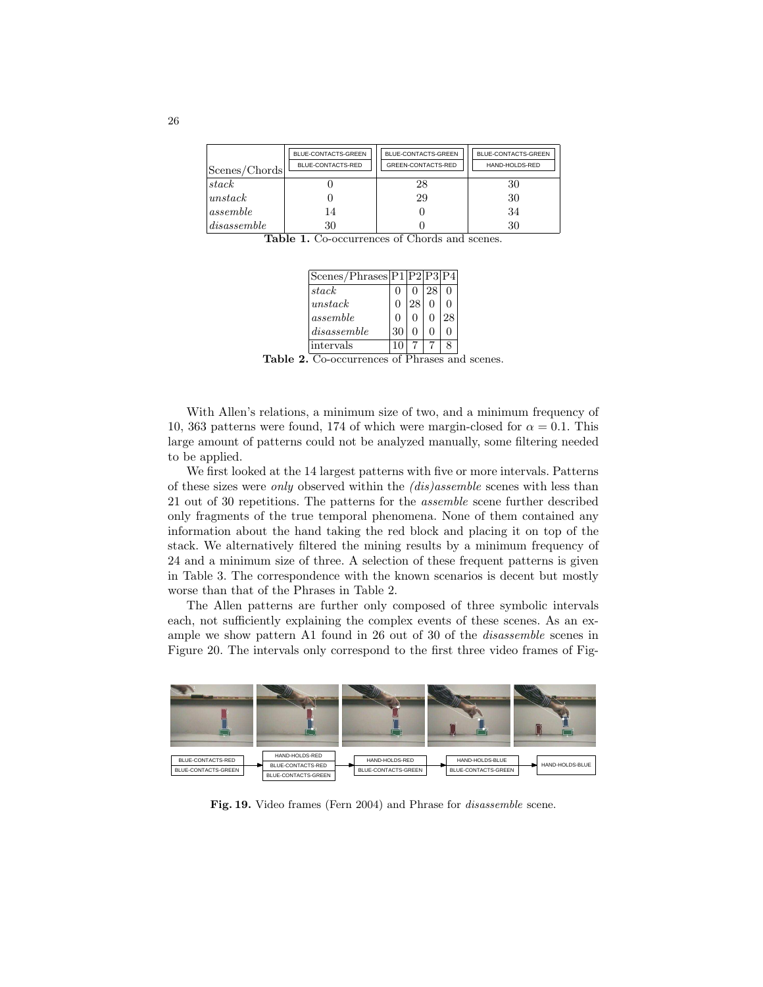|               | BLUE-CONTACTS-GREEN | BLUE-CONTACTS-GREEN | BLUE-CONTACTS-GREEN |  |
|---------------|---------------------|---------------------|---------------------|--|
| Scenes/Chords | BLUE-CONTACTS-RED   | GREEN-CONTACTS-RED  | HAND-HOLDS-RED      |  |
| stack         |                     | 28                  |                     |  |
| unstack       |                     | 29                  | 30                  |  |
| assemble      | 14                  |                     | 34                  |  |
| disassemble   | 30                  |                     |                     |  |

Table 1. Co-occurrences of Chords and scenes.

| $\text{Scenes}/\text{Phrases}$ $\text{P1}$ $\text{P2}$ $\text{P3}$ $\text{P4}$ |    |    |    |    |
|--------------------------------------------------------------------------------|----|----|----|----|
| stack                                                                          |    |    | 28 |    |
| unstack                                                                        |    | 28 |    |    |
| assemble                                                                       |    |    |    | 28 |
| disassemble                                                                    | 30 |    |    |    |
| intervals                                                                      |    |    |    |    |

Table 2. Co-occurrences of Phrases and scenes.

With Allen's relations, a minimum size of two, and a minimum frequency of 10, 363 patterns were found, 174 of which were margin-closed for  $\alpha = 0.1$ . This large amount of patterns could not be analyzed manually, some filtering needed to be applied.

We first looked at the 14 largest patterns with five or more intervals. Patterns of these sizes were only observed within the (dis)assemble scenes with less than 21 out of 30 repetitions. The patterns for the assemble scene further described only fragments of the true temporal phenomena. None of them contained any information about the hand taking the red block and placing it on top of the stack. We alternatively filtered the mining results by a minimum frequency of 24 and a minimum size of three. A selection of these frequent patterns is given in Table 3. The correspondence with the known scenarios is decent but mostly worse than that of the Phrases in Table 2.

The Allen patterns are further only composed of three symbolic intervals each, not sufficiently explaining the complex events of these scenes. As an example we show pattern A1 found in 26 out of 30 of the disassemble scenes in Figure 20. The intervals only correspond to the first three video frames of Fig-



Fig. 19. Video frames (Fern 2004) and Phrase for disassemble scene.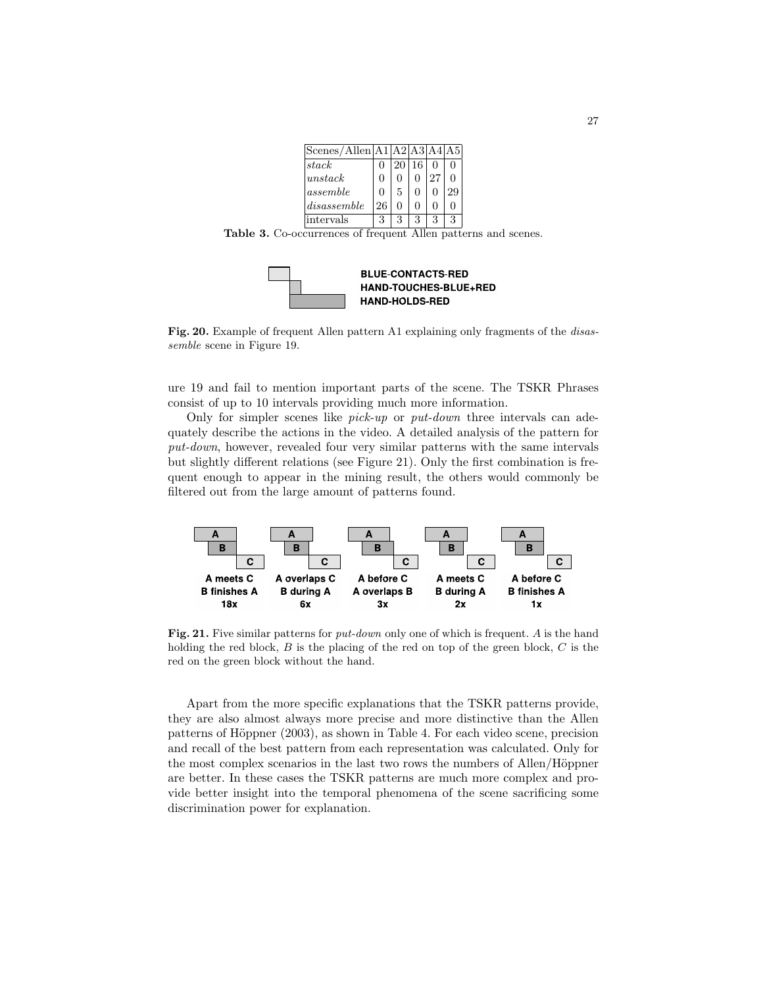| Scenes/Allen A1 A2 A3 A4 A5 |              |              |          |    |          |
|-----------------------------|--------------|--------------|----------|----|----------|
| stack                       | $\mathbf{0}$ | 20           | 16       |    |          |
| unstack                     | $\mathbf{0}$ | $\mathbf{0}$ | 0        | 27 | $\Omega$ |
| assemble                    | 0            | 5            | 0        | 0  | 29       |
| disassemble                 | 26           | O            | $\Omega$ | ∩  | 0        |
| intervals                   | 3            | 3            | 3        | 3  | 3        |

Table 3. Co-occurrences of frequent Allen patterns and scenes.



#### **BLUE-CONTACTS-RED** HAND-TOUCHES-BLUE+RED **HAND-HOLDS-RED**

Fig. 20. Example of frequent Allen pattern A1 explaining only fragments of the disassemble scene in Figure 19.

ure 19 and fail to mention important parts of the scene. The TSKR Phrases consist of up to 10 intervals providing much more information.

Only for simpler scenes like  $pick-up$  or  $put-down$  three intervals can adequately describe the actions in the video. A detailed analysis of the pattern for put-down, however, revealed four very similar patterns with the same intervals but slightly different relations (see Figure 21). Only the first combination is frequent enough to appear in the mining result, the others would commonly be filtered out from the large amount of patterns found.



Fig. 21. Five similar patterns for *put-down* only one of which is frequent. A is the hand holding the red block,  $B$  is the placing of the red on top of the green block,  $C$  is the red on the green block without the hand.

Apart from the more specific explanations that the TSKR patterns provide, they are also almost always more precise and more distinctive than the Allen patterns of Höppner (2003), as shown in Table 4. For each video scene, precision and recall of the best pattern from each representation was calculated. Only for the most complex scenarios in the last two rows the numbers of Allen/Höppner are better. In these cases the TSKR patterns are much more complex and provide better insight into the temporal phenomena of the scene sacrificing some discrimination power for explanation.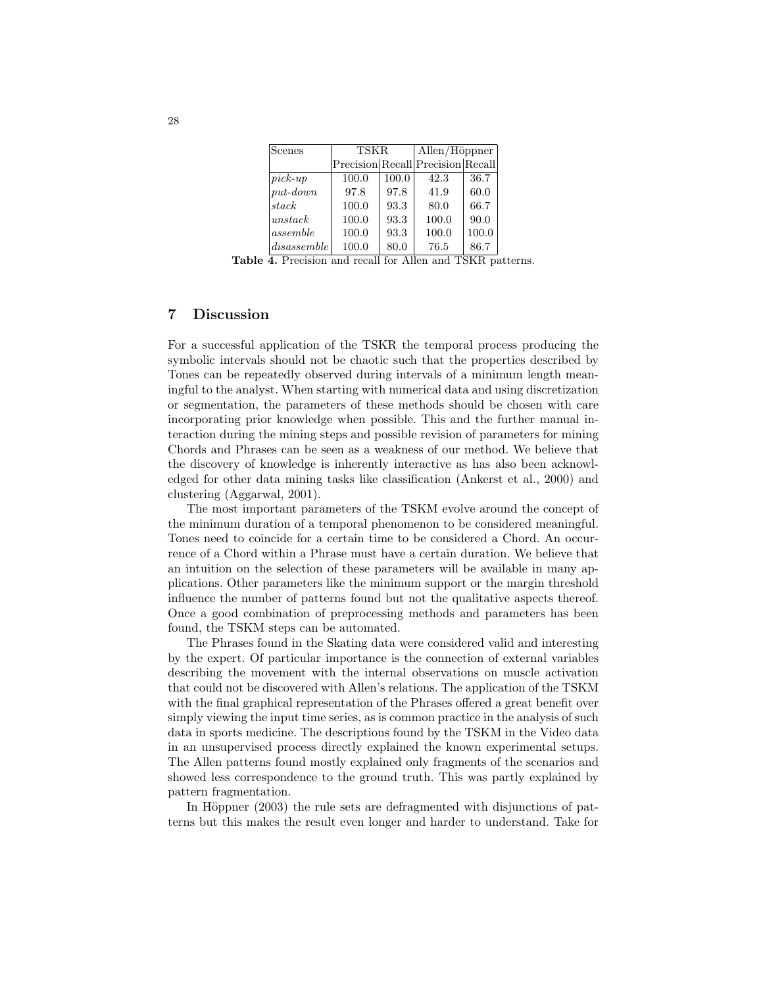| Scenes       | TSKR. |       | $\text{Allen}/\text{Höppner}$     |       |
|--------------|-------|-------|-----------------------------------|-------|
|              |       |       | Precision Recall Precision Recall |       |
| $pick-up$    | 100.0 | 100.0 | 42.3                              | 36.7  |
| $put-down$   | 97.8  | 97.8  | 41.9                              | 60.0  |
| <i>stack</i> | 100.0 | 93.3  | 80.0                              | 66.7  |
| unstack      | 100.0 | 93.3  | 100.0                             | 90.0  |
| assemble     | 100.0 | 93.3  | 100.0                             | 100.0 |
| disssemble   | 100.0 | 80.0  | 76.5                              | 86.7  |

Table 4. Precision and recall for Allen and TSKR patterns.

# 7 Discussion

For a successful application of the TSKR the temporal process producing the symbolic intervals should not be chaotic such that the properties described by Tones can be repeatedly observed during intervals of a minimum length meaningful to the analyst. When starting with numerical data and using discretization or segmentation, the parameters of these methods should be chosen with care incorporating prior knowledge when possible. This and the further manual interaction during the mining steps and possible revision of parameters for mining Chords and Phrases can be seen as a weakness of our method. We believe that the discovery of knowledge is inherently interactive as has also been acknowledged for other data mining tasks like classification (Ankerst et al., 2000) and clustering (Aggarwal, 2001).

The most important parameters of the TSKM evolve around the concept of the minimum duration of a temporal phenomenon to be considered meaningful. Tones need to coincide for a certain time to be considered a Chord. An occurrence of a Chord within a Phrase must have a certain duration. We believe that an intuition on the selection of these parameters will be available in many applications. Other parameters like the minimum support or the margin threshold influence the number of patterns found but not the qualitative aspects thereof. Once a good combination of preprocessing methods and parameters has been found, the TSKM steps can be automated.

The Phrases found in the Skating data were considered valid and interesting by the expert. Of particular importance is the connection of external variables describing the movement with the internal observations on muscle activation that could not be discovered with Allen's relations. The application of the TSKM with the final graphical representation of the Phrases offered a great benefit over simply viewing the input time series, as is common practice in the analysis of such data in sports medicine. The descriptions found by the TSKM in the Video data in an unsupervised process directly explained the known experimental setups. The Allen patterns found mostly explained only fragments of the scenarios and showed less correspondence to the ground truth. This was partly explained by pattern fragmentation.

In Höppner (2003) the rule sets are defragmented with disjunctions of patterns but this makes the result even longer and harder to understand. Take for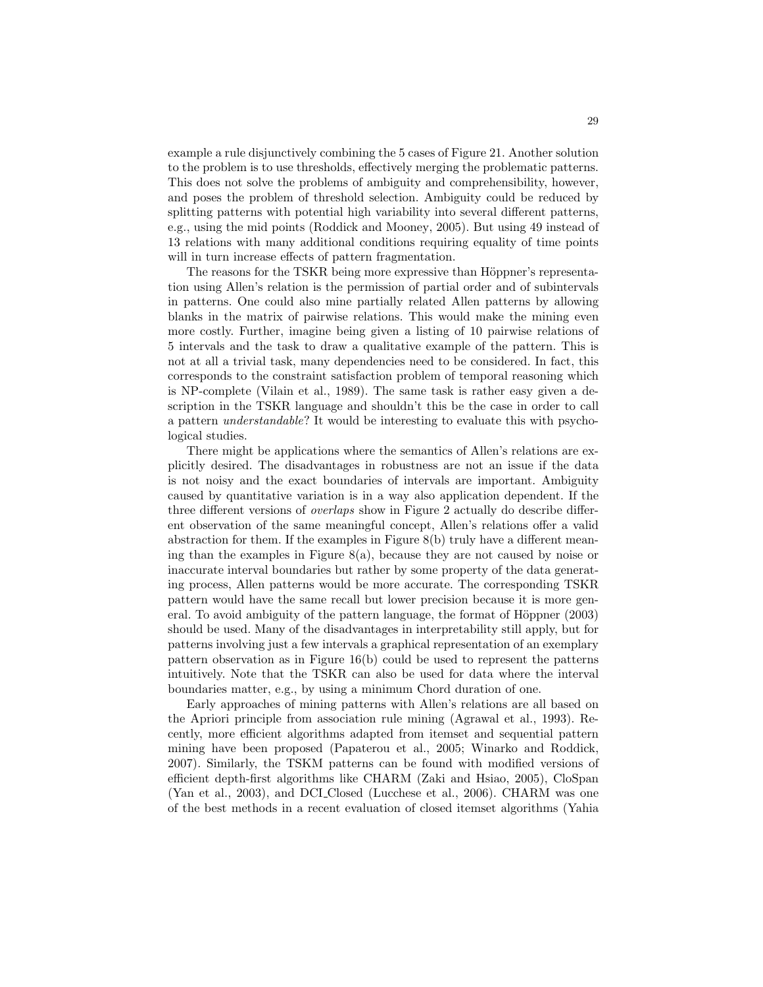example a rule disjunctively combining the 5 cases of Figure 21. Another solution to the problem is to use thresholds, effectively merging the problematic patterns. This does not solve the problems of ambiguity and comprehensibility, however, and poses the problem of threshold selection. Ambiguity could be reduced by splitting patterns with potential high variability into several different patterns, e.g., using the mid points (Roddick and Mooney, 2005). But using 49 instead of 13 relations with many additional conditions requiring equality of time points will in turn increase effects of pattern fragmentation.

The reasons for the TSKR being more expressive than Höppner's representation using Allen's relation is the permission of partial order and of subintervals in patterns. One could also mine partially related Allen patterns by allowing blanks in the matrix of pairwise relations. This would make the mining even more costly. Further, imagine being given a listing of 10 pairwise relations of 5 intervals and the task to draw a qualitative example of the pattern. This is not at all a trivial task, many dependencies need to be considered. In fact, this corresponds to the constraint satisfaction problem of temporal reasoning which is NP-complete (Vilain et al., 1989). The same task is rather easy given a description in the TSKR language and shouldn't this be the case in order to call a pattern understandable? It would be interesting to evaluate this with psychological studies.

There might be applications where the semantics of Allen's relations are explicitly desired. The disadvantages in robustness are not an issue if the data is not noisy and the exact boundaries of intervals are important. Ambiguity caused by quantitative variation is in a way also application dependent. If the three different versions of overlaps show in Figure 2 actually do describe different observation of the same meaningful concept, Allen's relations offer a valid abstraction for them. If the examples in Figure 8(b) truly have a different meaning than the examples in Figure  $8(a)$ , because they are not caused by noise or inaccurate interval boundaries but rather by some property of the data generating process, Allen patterns would be more accurate. The corresponding TSKR pattern would have the same recall but lower precision because it is more general. To avoid ambiguity of the pattern language, the format of  $H\ddot{o}ppner (2003)$ should be used. Many of the disadvantages in interpretability still apply, but for patterns involving just a few intervals a graphical representation of an exemplary pattern observation as in Figure 16(b) could be used to represent the patterns intuitively. Note that the TSKR can also be used for data where the interval boundaries matter, e.g., by using a minimum Chord duration of one.

Early approaches of mining patterns with Allen's relations are all based on the Apriori principle from association rule mining (Agrawal et al., 1993). Recently, more efficient algorithms adapted from itemset and sequential pattern mining have been proposed (Papaterou et al., 2005; Winarko and Roddick, 2007). Similarly, the TSKM patterns can be found with modified versions of efficient depth-first algorithms like CHARM (Zaki and Hsiao, 2005), CloSpan (Yan et al., 2003), and DCI Closed (Lucchese et al., 2006). CHARM was one of the best methods in a recent evaluation of closed itemset algorithms (Yahia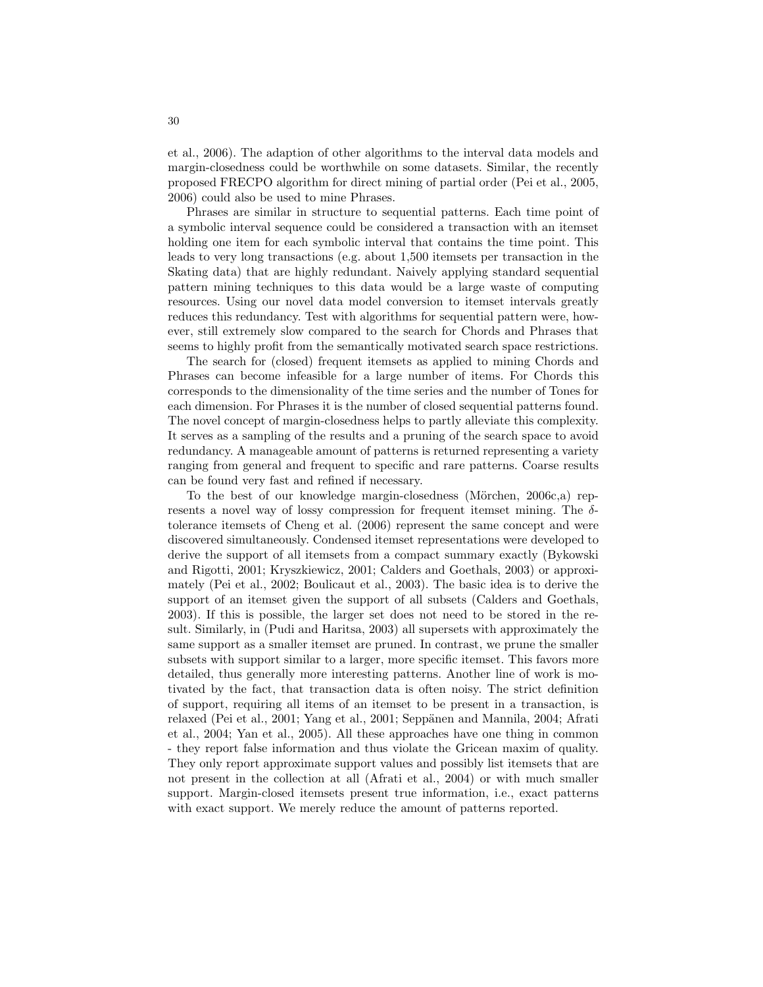et al., 2006). The adaption of other algorithms to the interval data models and margin-closedness could be worthwhile on some datasets. Similar, the recently proposed FRECPO algorithm for direct mining of partial order (Pei et al., 2005, 2006) could also be used to mine Phrases.

Phrases are similar in structure to sequential patterns. Each time point of a symbolic interval sequence could be considered a transaction with an itemset holding one item for each symbolic interval that contains the time point. This leads to very long transactions (e.g. about 1,500 itemsets per transaction in the Skating data) that are highly redundant. Naively applying standard sequential pattern mining techniques to this data would be a large waste of computing resources. Using our novel data model conversion to itemset intervals greatly reduces this redundancy. Test with algorithms for sequential pattern were, however, still extremely slow compared to the search for Chords and Phrases that seems to highly profit from the semantically motivated search space restrictions.

The search for (closed) frequent itemsets as applied to mining Chords and Phrases can become infeasible for a large number of items. For Chords this corresponds to the dimensionality of the time series and the number of Tones for each dimension. For Phrases it is the number of closed sequential patterns found. The novel concept of margin-closedness helps to partly alleviate this complexity. It serves as a sampling of the results and a pruning of the search space to avoid redundancy. A manageable amount of patterns is returned representing a variety ranging from general and frequent to specific and rare patterns. Coarse results can be found very fast and refined if necessary.

To the best of our knowledge margin-closedness (Mörchen,  $2006c$ ,a) represents a novel way of lossy compression for frequent itemset mining. The  $\delta$ tolerance itemsets of Cheng et al. (2006) represent the same concept and were discovered simultaneously. Condensed itemset representations were developed to derive the support of all itemsets from a compact summary exactly (Bykowski and Rigotti, 2001; Kryszkiewicz, 2001; Calders and Goethals, 2003) or approximately (Pei et al., 2002; Boulicaut et al., 2003). The basic idea is to derive the support of an itemset given the support of all subsets (Calders and Goethals, 2003). If this is possible, the larger set does not need to be stored in the result. Similarly, in (Pudi and Haritsa, 2003) all supersets with approximately the same support as a smaller itemset are pruned. In contrast, we prune the smaller subsets with support similar to a larger, more specific itemset. This favors more detailed, thus generally more interesting patterns. Another line of work is motivated by the fact, that transaction data is often noisy. The strict definition of support, requiring all items of an itemset to be present in a transaction, is relaxed (Pei et al., 2001; Yang et al., 2001; Seppänen and Mannila, 2004; Afrati et al., 2004; Yan et al., 2005). All these approaches have one thing in common - they report false information and thus violate the Gricean maxim of quality. They only report approximate support values and possibly list itemsets that are not present in the collection at all (Afrati et al., 2004) or with much smaller support. Margin-closed itemsets present true information, i.e., exact patterns with exact support. We merely reduce the amount of patterns reported.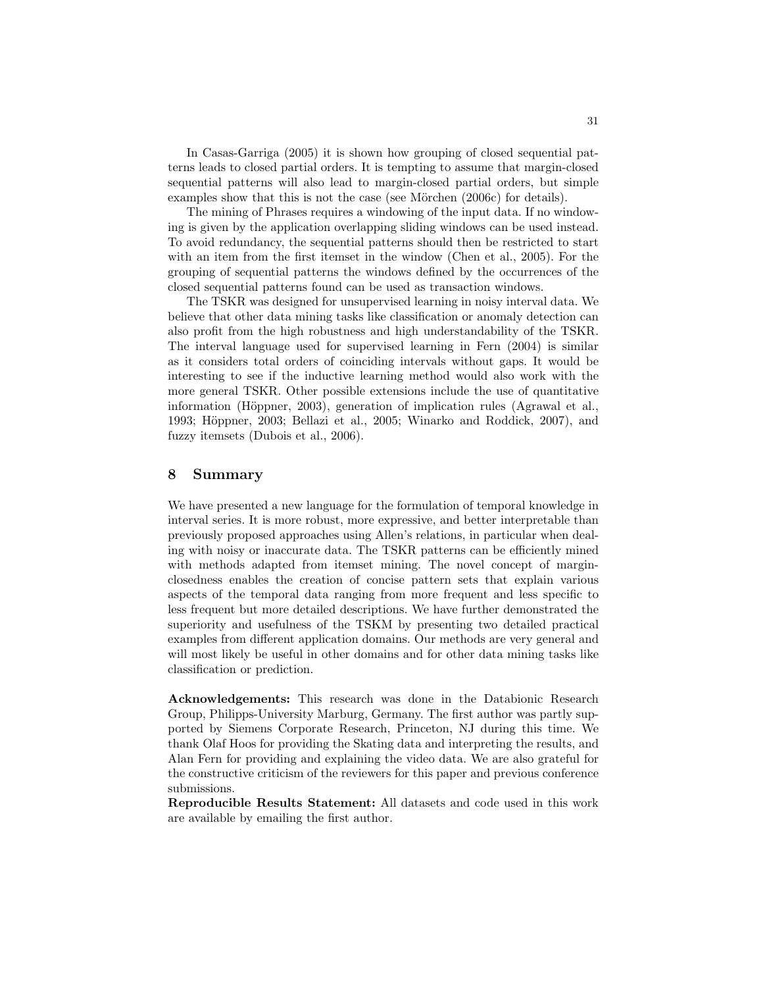In Casas-Garriga (2005) it is shown how grouping of closed sequential patterns leads to closed partial orders. It is tempting to assume that margin-closed sequential patterns will also lead to margin-closed partial orders, but simple examples show that this is not the case (see Mörchen (2006c) for details).

The mining of Phrases requires a windowing of the input data. If no windowing is given by the application overlapping sliding windows can be used instead. To avoid redundancy, the sequential patterns should then be restricted to start with an item from the first itemset in the window (Chen et al., 2005). For the grouping of sequential patterns the windows defined by the occurrences of the closed sequential patterns found can be used as transaction windows.

The TSKR was designed for unsupervised learning in noisy interval data. We believe that other data mining tasks like classification or anomaly detection can also profit from the high robustness and high understandability of the TSKR. The interval language used for supervised learning in Fern (2004) is similar as it considers total orders of coinciding intervals without gaps. It would be interesting to see if the inductive learning method would also work with the more general TSKR. Other possible extensions include the use of quantitative information (Höppner, 2003), generation of implication rules (Agrawal et al., 1993; Höppner, 2003; Bellazi et al., 2005; Winarko and Roddick, 2007), and fuzzy itemsets (Dubois et al., 2006).

# 8 Summary

We have presented a new language for the formulation of temporal knowledge in interval series. It is more robust, more expressive, and better interpretable than previously proposed approaches using Allen's relations, in particular when dealing with noisy or inaccurate data. The TSKR patterns can be efficiently mined with methods adapted from itemset mining. The novel concept of marginclosedness enables the creation of concise pattern sets that explain various aspects of the temporal data ranging from more frequent and less specific to less frequent but more detailed descriptions. We have further demonstrated the superiority and usefulness of the TSKM by presenting two detailed practical examples from different application domains. Our methods are very general and will most likely be useful in other domains and for other data mining tasks like classification or prediction.

Acknowledgements: This research was done in the Databionic Research Group, Philipps-University Marburg, Germany. The first author was partly supported by Siemens Corporate Research, Princeton, NJ during this time. We thank Olaf Hoos for providing the Skating data and interpreting the results, and Alan Fern for providing and explaining the video data. We are also grateful for the constructive criticism of the reviewers for this paper and previous conference submissions.

Reproducible Results Statement: All datasets and code used in this work are available by emailing the first author.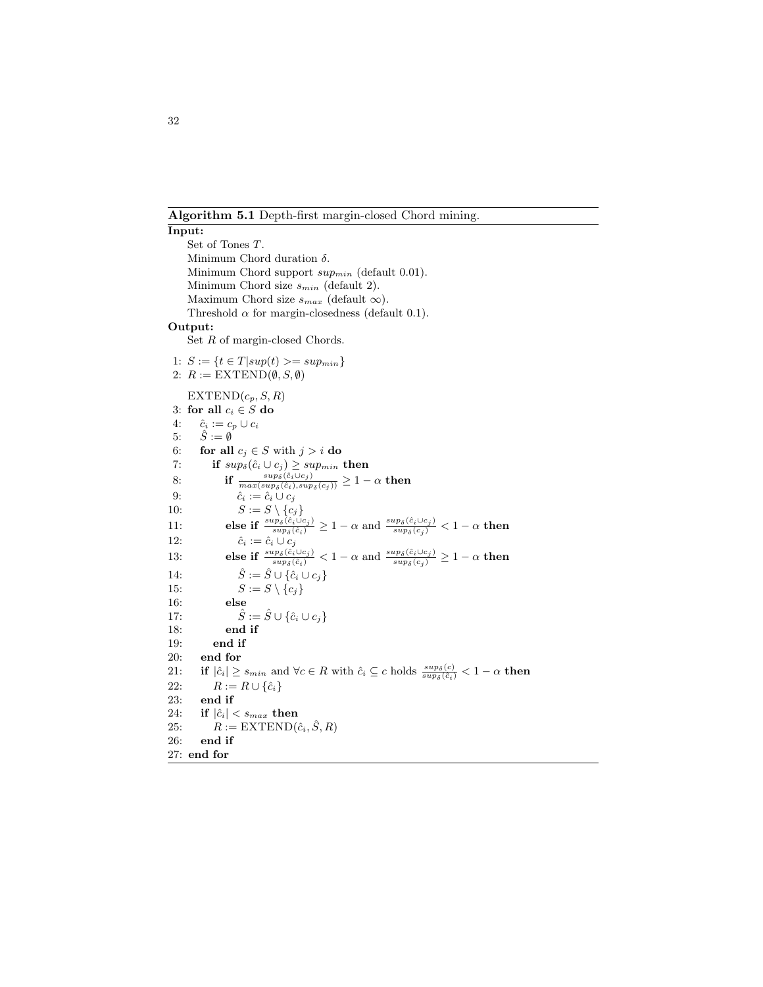Algorithm 5.1 Depth-first margin-closed Chord mining.

# Input: Set of Tones T. Minimum Chord duration  $\delta$ . Minimum Chord support  $sup_{min}$  (default 0.01). Minimum Chord size  $s_{min}$  (default 2). Maximum Chord size  $s_{max}$  (default  $\infty$ ). Threshold  $\alpha$  for margin-closedness (default 0.1). Output: Set R of margin-closed Chords. 1:  $S := \{t \in T | sup(t) >= supp_{min}\}$ 2:  $R := \text{EXTEND}(\emptyset, S, \emptyset)$  $\text{EXTEND}(c_p, S, R)$ 3: for all  $c_i \in S$  do 4:  $\hat{c}_i := c_p \cup c_i$ 5:  $\hat{S} := \emptyset$ 6: for all  $c_j \in S$  with  $j > i$  do 7: if  $sup_{\delta}(\hat{c}_i \cup c_j) \geq sup_{min}$  then 8: if  $\frac{sup_{\delta}(\hat{c}_i \cup c_j)}{max(sup_{\delta}(\hat{c}_i), sup_{\delta}(c_j))} \geq 1 - \alpha$  then 9:  $\hat{c}_i := \hat{c}_i \cup c_j$ 10:  $S := S \setminus \{c_j\}$ 11: **else if**  $\frac{sup_{\delta}(\hat{c}_i \cup c_j)}{sup_{\delta}(\hat{c}_i)} \ge 1 - \alpha$  and  $\frac{sup_{\delta}(\hat{c}_i \cup c_j)}{sup_{\delta}(c_j)} < 1 - \alpha$  then 12:  $\hat{c}_i := \hat{c}_i \cup c_j$ 13: **else if**  $\frac{sup_{\delta}(\hat{c}_i \cup c_j)}{sup_{\delta}(\hat{c}_i)} < 1 - \alpha$  and  $\frac{sup_{\delta}(\hat{c}_i \cup c_j)}{sup_{\delta}(c_j)} \ge 1 - \alpha$  then 14:  $\hat{S} := \hat{S} \cup \{\hat{c}_i \cup c_j\}$ 15:  $S := S \setminus \{c_j\}$ 16: else 17:  $\hat{S} := \hat{S} \cup \{\hat{c}_i \cup c_j\}$ 18: end if 19: end if 20: end for 21: if  $|\hat{c}_i| \geq s_{min}$  and  $\forall c \in R$  with  $\hat{c}_i \subseteq c$  holds  $\frac{s u p_\delta(c)}{s u p_\delta(\hat{c}_i)} < 1 - \alpha$  then 22:  $R := R \cup \{\hat{c}_i\}$ 23: end if 24: if  $|\hat{c}_i| < s_{max}$  then 25:  $R := \text{EXTEND}(\hat{c}_i, \hat{S}, R)$ 26: end if 27: end for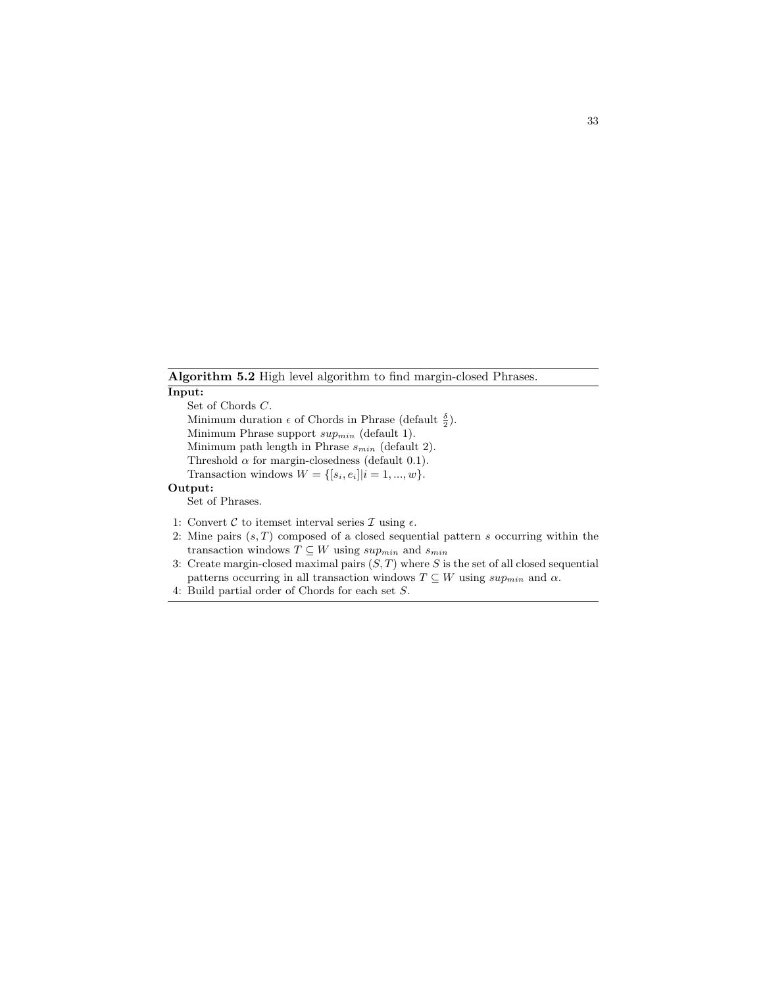Algorithm 5.2 High level algorithm to find margin-closed Phrases.

### Input:

Set of Chords C. Minimum duration  $\epsilon$  of Chords in Phrase (default  $\frac{\delta}{2}$ ). Minimum Phrase support  $sup_{min}$  (default 1). Minimum path length in Phrase  $s_{min}$  (default 2). Threshold  $\alpha$  for margin-closedness (default 0.1). Transaction windows  $W = \{ [s_i, e_i] | i = 1, ..., w \}.$ Output: Set of Phrases.

- 1: Convert  $\mathcal C$  to itemset interval series  $\mathcal I$  using  $\epsilon$ .
- 2: Mine pairs  $(s, T)$  composed of a closed sequential pattern s occurring within the transaction windows  $T \subseteq W$  using  $sup_{min}$  and  $s_{min}$
- 3: Create margin-closed maximal pairs  $(S, T)$  where S is the set of all closed sequential patterns occurring in all transaction windows  $T \subseteq W$  using  $sup_{min}$  and  $\alpha$ .
- 4: Build partial order of Chords for each set S.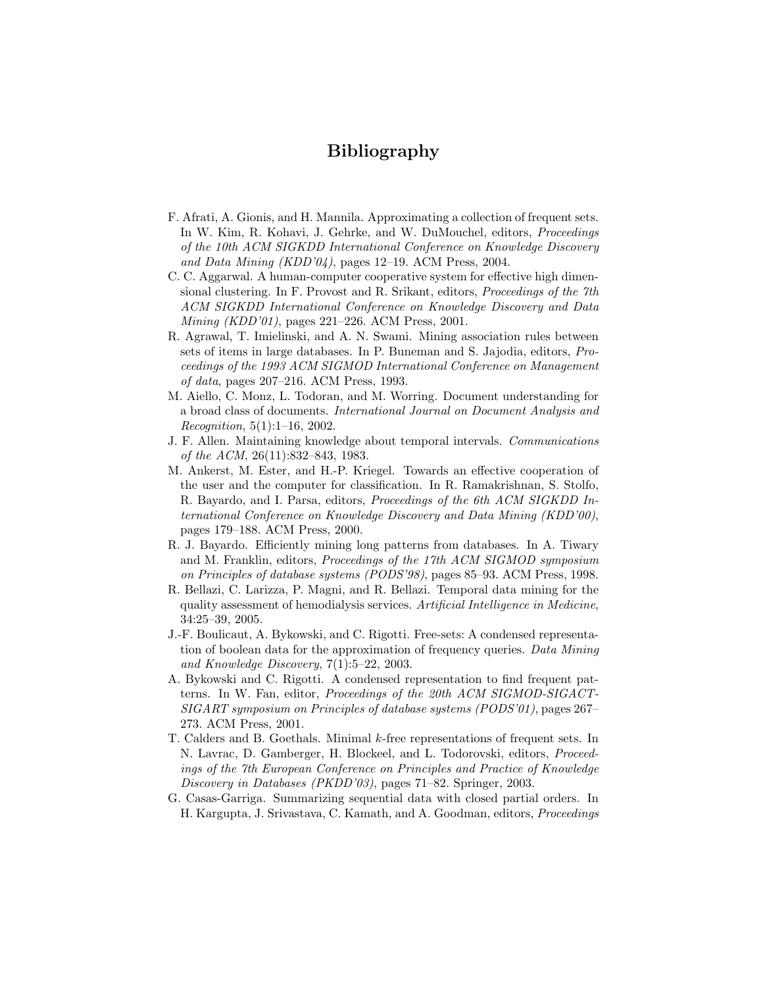# Bibliography

- F. Afrati, A. Gionis, and H. Mannila. Approximating a collection of frequent sets. In W. Kim, R. Kohavi, J. Gehrke, and W. DuMouchel, editors, Proceedings of the 10th ACM SIGKDD International Conference on Knowledge Discovery and Data Mining (KDD'04), pages 12–19. ACM Press, 2004.
- C. C. Aggarwal. A human-computer cooperative system for effective high dimensional clustering. In F. Provost and R. Srikant, editors, Proceedings of the 7th ACM SIGKDD International Conference on Knowledge Discovery and Data Mining (KDD'01), pages 221–226. ACM Press, 2001.
- R. Agrawal, T. Imielinski, and A. N. Swami. Mining association rules between sets of items in large databases. In P. Buneman and S. Jajodia, editors, Proceedings of the 1993 ACM SIGMOD International Conference on Management of data, pages 207–216. ACM Press, 1993.
- M. Aiello, C. Monz, L. Todoran, and M. Worring. Document understanding for a broad class of documents. International Journal on Document Analysis and Recognition, 5(1):1–16, 2002.
- J. F. Allen. Maintaining knowledge about temporal intervals. Communications of the ACM, 26(11):832–843, 1983.
- M. Ankerst, M. Ester, and H.-P. Kriegel. Towards an effective cooperation of the user and the computer for classification. In R. Ramakrishnan, S. Stolfo, R. Bayardo, and I. Parsa, editors, Proceedings of the 6th ACM SIGKDD International Conference on Knowledge Discovery and Data Mining (KDD'00), pages 179–188. ACM Press, 2000.
- R. J. Bayardo. Efficiently mining long patterns from databases. In A. Tiwary and M. Franklin, editors, *Proceedings of the 17th ACM SIGMOD symposium* on Principles of database systems (PODS'98), pages 85–93. ACM Press, 1998.
- R. Bellazi, C. Larizza, P. Magni, and R. Bellazi. Temporal data mining for the quality assessment of hemodialysis services. Artificial Intelligence in Medicine, 34:25–39, 2005.
- J.-F. Boulicaut, A. Bykowski, and C. Rigotti. Free-sets: A condensed representation of boolean data for the approximation of frequency queries. Data Mining and Knowledge Discovery, 7(1):5–22, 2003.
- A. Bykowski and C. Rigotti. A condensed representation to find frequent patterns. In W. Fan, editor, Proceedings of the 20th ACM SIGMOD-SIGACT-SIGART symposium on Principles of database systems (PODS'01), pages 267– 273. ACM Press, 2001.
- T. Calders and B. Goethals. Minimal k-free representations of frequent sets. In N. Lavrac, D. Gamberger, H. Blockeel, and L. Todorovski, editors, Proceedings of the 7th European Conference on Principles and Practice of Knowledge Discovery in Databases (PKDD'03), pages 71–82. Springer, 2003.
- G. Casas-Garriga. Summarizing sequential data with closed partial orders. In H. Kargupta, J. Srivastava, C. Kamath, and A. Goodman, editors, Proceedings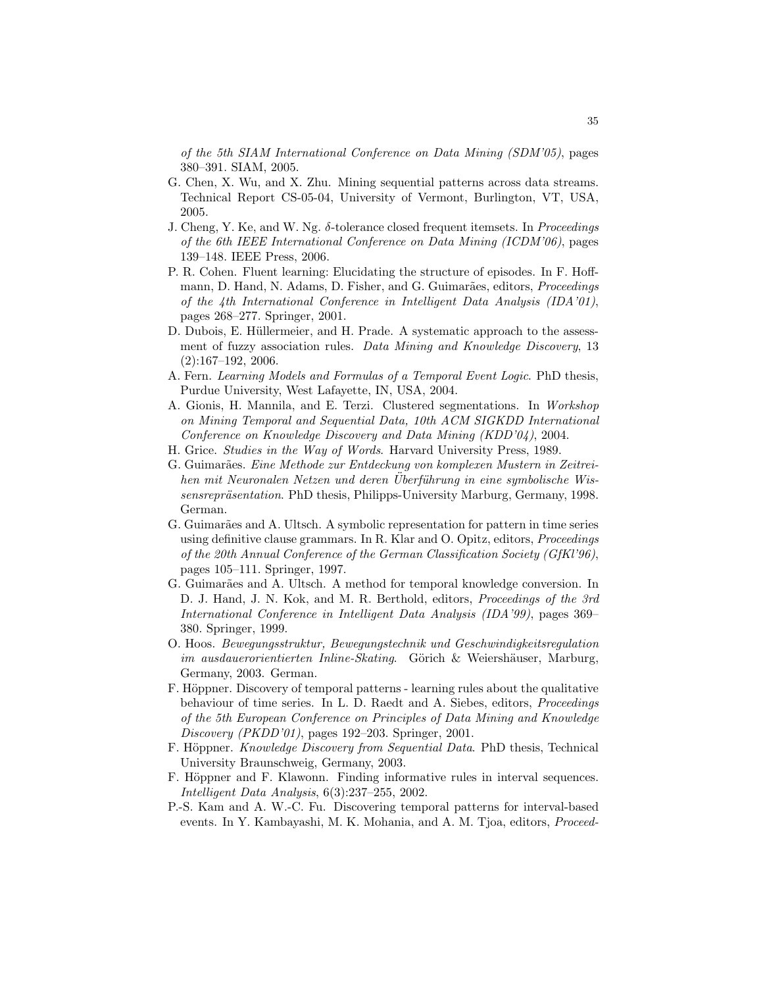of the 5th SIAM International Conference on Data Mining (SDM'05), pages 380–391. SIAM, 2005.

- G. Chen, X. Wu, and X. Zhu. Mining sequential patterns across data streams. Technical Report CS-05-04, University of Vermont, Burlington, VT, USA, 2005.
- J. Cheng, Y. Ke, and W. Ng. δ-tolerance closed frequent itemsets. In Proceedings of the 6th IEEE International Conference on Data Mining (ICDM'06), pages 139–148. IEEE Press, 2006.
- P. R. Cohen. Fluent learning: Elucidating the structure of episodes. In F. Hoffmann, D. Hand, N. Adams, D. Fisher, and G. Guimarães, editors, Proceedings of the 4th International Conference in Intelligent Data Analysis (IDA'01), pages 268–277. Springer, 2001.
- D. Dubois, E. Hüllermeier, and H. Prade. A systematic approach to the assessment of fuzzy association rules. Data Mining and Knowledge Discovery, 13 (2):167–192, 2006.
- A. Fern. Learning Models and Formulas of a Temporal Event Logic. PhD thesis, Purdue University, West Lafayette, IN, USA, 2004.
- A. Gionis, H. Mannila, and E. Terzi. Clustered segmentations. In Workshop on Mining Temporal and Sequential Data, 10th ACM SIGKDD International Conference on Knowledge Discovery and Data Mining (KDD'04), 2004.
- H. Grice. Studies in the Way of Words. Harvard University Press, 1989.
- G. Guimarães. Eine Methode zur Entdeckung von komplexen Mustern in Zeitreihen mit Neuronalen Netzen und deren Uberführung in eine symbolische Wissensrepräsentation. PhD thesis, Philipps-University Marburg, Germany, 1998. German.
- G. Guimarães and A. Ultsch. A symbolic representation for pattern in time series using definitive clause grammars. In R. Klar and O. Opitz, editors, Proceedings of the 20th Annual Conference of the German Classification Society (GfKl'96), pages 105–111. Springer, 1997.
- G. Guimarães and A. Ultsch. A method for temporal knowledge conversion. In D. J. Hand, J. N. Kok, and M. R. Berthold, editors, Proceedings of the 3rd International Conference in Intelligent Data Analysis (IDA'99), pages 369– 380. Springer, 1999.
- O. Hoos. Bewegungsstruktur, Bewegungstechnik und Geschwindigkeitsregulation im ausdauerorientierten Inline-Skating. Görich & Weiershäuser, Marburg, Germany, 2003. German.
- F. Höppner. Discovery of temporal patterns learning rules about the qualitative behaviour of time series. In L. D. Raedt and A. Siebes, editors, Proceedings of the 5th European Conference on Principles of Data Mining and Knowledge Discovery (PKDD'01), pages 192–203. Springer, 2001.
- F. Höppner. Knowledge Discovery from Sequential Data. PhD thesis, Technical University Braunschweig, Germany, 2003.
- F. Höppner and F. Klawonn. Finding informative rules in interval sequences. Intelligent Data Analysis, 6(3):237–255, 2002.
- P.-S. Kam and A. W.-C. Fu. Discovering temporal patterns for interval-based events. In Y. Kambayashi, M. K. Mohania, and A. M. Tjoa, editors, Proceed-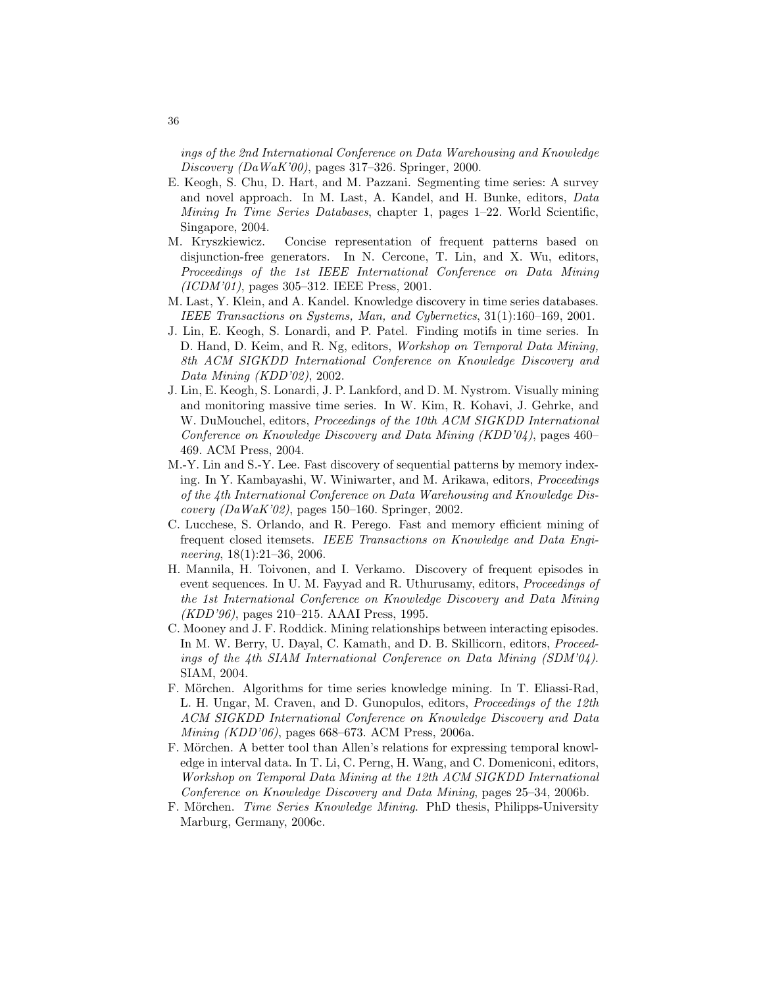ings of the 2nd International Conference on Data Warehousing and Knowledge Discovery ( $Da W a K' 00$ ), pages 317–326. Springer, 2000.

- E. Keogh, S. Chu, D. Hart, and M. Pazzani. Segmenting time series: A survey and novel approach. In M. Last, A. Kandel, and H. Bunke, editors, Data Mining In Time Series Databases, chapter 1, pages 1–22. World Scientific, Singapore, 2004.
- M. Kryszkiewicz. Concise representation of frequent patterns based on disjunction-free generators. In N. Cercone, T. Lin, and X. Wu, editors, Proceedings of the 1st IEEE International Conference on Data Mining (ICDM'01), pages 305–312. IEEE Press, 2001.
- M. Last, Y. Klein, and A. Kandel. Knowledge discovery in time series databases. IEEE Transactions on Systems, Man, and Cybernetics, 31(1):160–169, 2001.
- J. Lin, E. Keogh, S. Lonardi, and P. Patel. Finding motifs in time series. In D. Hand, D. Keim, and R. Ng, editors, Workshop on Temporal Data Mining, 8th ACM SIGKDD International Conference on Knowledge Discovery and Data Mining (KDD'02), 2002.
- J. Lin, E. Keogh, S. Lonardi, J. P. Lankford, and D. M. Nystrom. Visually mining and monitoring massive time series. In W. Kim, R. Kohavi, J. Gehrke, and W. DuMouchel, editors, *Proceedings of the 10th ACM SIGKDD International* Conference on Knowledge Discovery and Data Mining (KDD'04), pages 460– 469. ACM Press, 2004.
- M.-Y. Lin and S.-Y. Lee. Fast discovery of sequential patterns by memory indexing. In Y. Kambayashi, W. Winiwarter, and M. Arikawa, editors, Proceedings of the 4th International Conference on Data Warehousing and Knowledge Discovery  $(DaWaK'02)$ , pages 150–160. Springer, 2002.
- C. Lucchese, S. Orlando, and R. Perego. Fast and memory efficient mining of frequent closed itemsets. IEEE Transactions on Knowledge and Data Engineering, 18(1):21–36, 2006.
- H. Mannila, H. Toivonen, and I. Verkamo. Discovery of frequent episodes in event sequences. In U. M. Fayyad and R. Uthurusamy, editors, *Proceedings of* the 1st International Conference on Knowledge Discovery and Data Mining  $(KDD'96)$ , pages 210–215. AAAI Press, 1995.
- C. Mooney and J. F. Roddick. Mining relationships between interacting episodes. In M. W. Berry, U. Dayal, C. Kamath, and D. B. Skillicorn, editors, Proceedings of the 4th SIAM International Conference on Data Mining (SDM'04). SIAM, 2004.
- F. Mörchen. Algorithms for time series knowledge mining. In T. Eliassi-Rad, L. H. Ungar, M. Craven, and D. Gunopulos, editors, *Proceedings of the 12th* ACM SIGKDD International Conference on Knowledge Discovery and Data Mining (KDD'06), pages 668–673. ACM Press, 2006a.
- F. Mörchen. A better tool than Allen's relations for expressing temporal knowledge in interval data. In T. Li, C. Perng, H. Wang, and C. Domeniconi, editors, Workshop on Temporal Data Mining at the 12th ACM SIGKDD International Conference on Knowledge Discovery and Data Mining, pages 25–34, 2006b.
- F. Mörchen. Time Series Knowledge Mining. PhD thesis, Philipps-University Marburg, Germany, 2006c.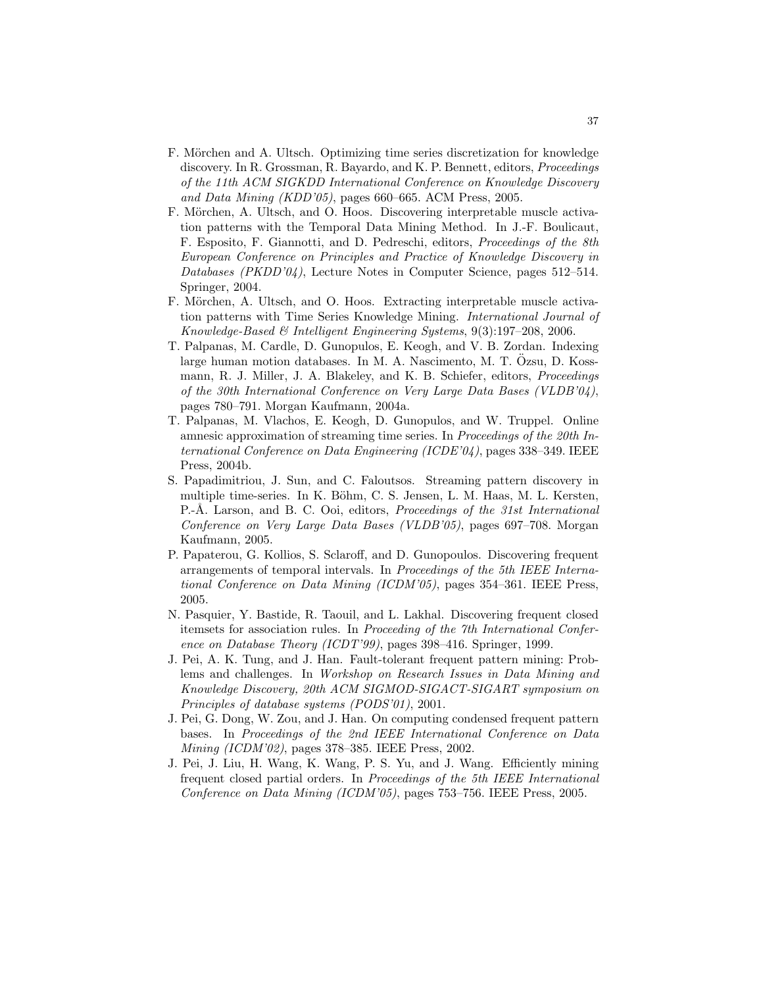- F. Mörchen and A. Ultsch. Optimizing time series discretization for knowledge discovery. In R. Grossman, R. Bayardo, and K. P. Bennett, editors, *Proceedings* of the 11th ACM SIGKDD International Conference on Knowledge Discovery and Data Mining (KDD'05), pages 660–665. ACM Press, 2005.
- F. Mörchen, A. Ultsch, and O. Hoos. Discovering interpretable muscle activation patterns with the Temporal Data Mining Method. In J.-F. Boulicaut, F. Esposito, F. Giannotti, and D. Pedreschi, editors, Proceedings of the 8th European Conference on Principles and Practice of Knowledge Discovery in Databases ( $PKDD'04$ ), Lecture Notes in Computer Science, pages 512–514. Springer, 2004.
- F. Mörchen, A. Ultsch, and O. Hoos. Extracting interpretable muscle activation patterns with Time Series Knowledge Mining. International Journal of Knowledge-Based & Intelligent Engineering Systems, 9(3):197–208, 2006.
- T. Palpanas, M. Cardle, D. Gunopulos, E. Keogh, and V. B. Zordan. Indexing large human motion databases. In M. A. Nascimento, M. T. Ozsu, D. Koss- ¨ mann, R. J. Miller, J. A. Blakeley, and K. B. Schiefer, editors, Proceedings of the 30th International Conference on Very Large Data Bases (VLDB'04), pages 780–791. Morgan Kaufmann, 2004a.
- T. Palpanas, M. Vlachos, E. Keogh, D. Gunopulos, and W. Truppel. Online amnesic approximation of streaming time series. In Proceedings of the 20th International Conference on Data Engineering (ICDE'04), pages 338–349. IEEE Press, 2004b.
- S. Papadimitriou, J. Sun, and C. Faloutsos. Streaming pattern discovery in multiple time-series. In K. Böhm, C. S. Jensen, L. M. Haas, M. L. Kersten, P.-Å. Larson, and B. C. Ooi, editors, *Proceedings of the 31st International* Conference on Very Large Data Bases (VLDB'05), pages 697–708. Morgan Kaufmann, 2005.
- P. Papaterou, G. Kollios, S. Sclaroff, and D. Gunopoulos. Discovering frequent arrangements of temporal intervals. In Proceedings of the 5th IEEE International Conference on Data Mining (ICDM'05), pages 354–361. IEEE Press, 2005.
- N. Pasquier, Y. Bastide, R. Taouil, and L. Lakhal. Discovering frequent closed itemsets for association rules. In Proceeding of the 7th International Conference on Database Theory (ICDT'99), pages 398–416. Springer, 1999.
- J. Pei, A. K. Tung, and J. Han. Fault-tolerant frequent pattern mining: Problems and challenges. In Workshop on Research Issues in Data Mining and Knowledge Discovery, 20th ACM SIGMOD-SIGACT-SIGART symposium on Principles of database systems (PODS'01), 2001.
- J. Pei, G. Dong, W. Zou, and J. Han. On computing condensed frequent pattern bases. In Proceedings of the 2nd IEEE International Conference on Data Mining (ICDM'02), pages 378–385. IEEE Press, 2002.
- J. Pei, J. Liu, H. Wang, K. Wang, P. S. Yu, and J. Wang. Efficiently mining frequent closed partial orders. In Proceedings of the 5th IEEE International Conference on Data Mining (ICDM'05), pages 753–756. IEEE Press, 2005.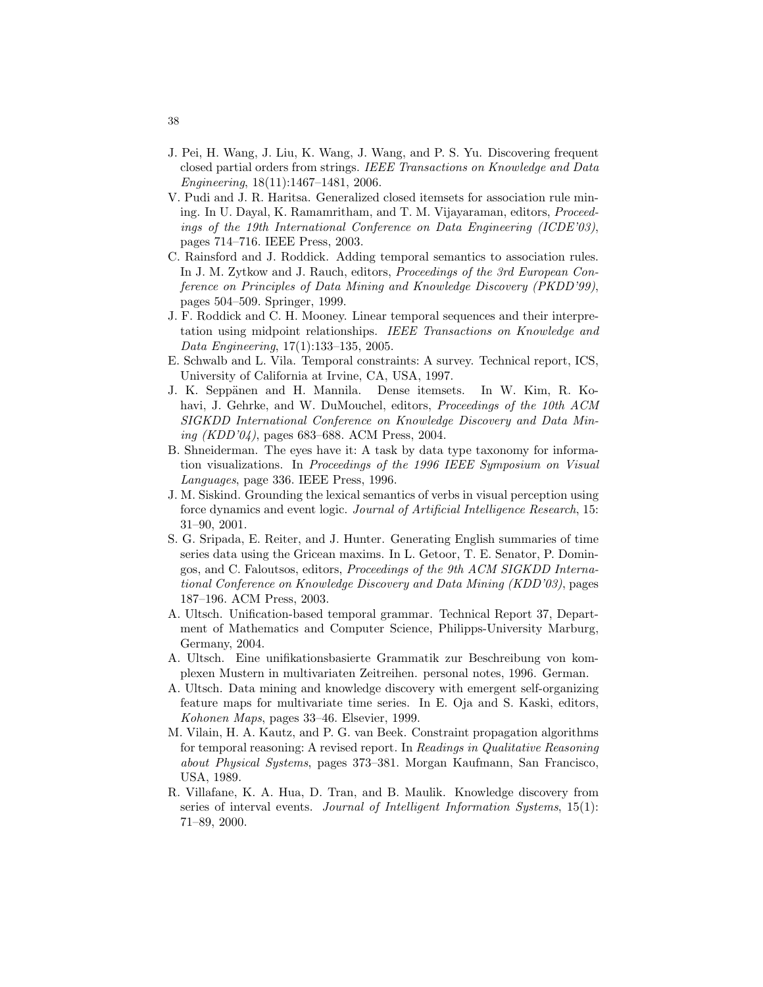- J. Pei, H. Wang, J. Liu, K. Wang, J. Wang, and P. S. Yu. Discovering frequent closed partial orders from strings. IEEE Transactions on Knowledge and Data Engineering, 18(11):1467–1481, 2006.
- V. Pudi and J. R. Haritsa. Generalized closed itemsets for association rule mining. In U. Dayal, K. Ramamritham, and T. M. Vijayaraman, editors, Proceedings of the 19th International Conference on Data Engineering (ICDE'03), pages 714–716. IEEE Press, 2003.
- C. Rainsford and J. Roddick. Adding temporal semantics to association rules. In J. M. Zytkow and J. Rauch, editors, Proceedings of the 3rd European Conference on Principles of Data Mining and Knowledge Discovery (PKDD'99), pages 504–509. Springer, 1999.
- J. F. Roddick and C. H. Mooney. Linear temporal sequences and their interpretation using midpoint relationships. IEEE Transactions on Knowledge and Data Engineering, 17(1):133–135, 2005.
- E. Schwalb and L. Vila. Temporal constraints: A survey. Technical report, ICS, University of California at Irvine, CA, USA, 1997.
- J. K. Seppänen and H. Mannila. Dense itemsets. In W. Kim, R. Kohavi, J. Gehrke, and W. DuMouchel, editors, Proceedings of the 10th ACM SIGKDD International Conference on Knowledge Discovery and Data Mining (KDD'04), pages 683–688. ACM Press, 2004.
- B. Shneiderman. The eyes have it: A task by data type taxonomy for information visualizations. In Proceedings of the 1996 IEEE Symposium on Visual Languages, page 336. IEEE Press, 1996.
- J. M. Siskind. Grounding the lexical semantics of verbs in visual perception using force dynamics and event logic. Journal of Artificial Intelligence Research, 15: 31–90, 2001.
- S. G. Sripada, E. Reiter, and J. Hunter. Generating English summaries of time series data using the Gricean maxims. In L. Getoor, T. E. Senator, P. Domingos, and C. Faloutsos, editors, Proceedings of the 9th ACM SIGKDD International Conference on Knowledge Discovery and Data Mining (KDD'03), pages 187–196. ACM Press, 2003.
- A. Ultsch. Unification-based temporal grammar. Technical Report 37, Department of Mathematics and Computer Science, Philipps-University Marburg, Germany, 2004.
- A. Ultsch. Eine unifikationsbasierte Grammatik zur Beschreibung von komplexen Mustern in multivariaten Zeitreihen. personal notes, 1996. German.
- A. Ultsch. Data mining and knowledge discovery with emergent self-organizing feature maps for multivariate time series. In E. Oja and S. Kaski, editors, Kohonen Maps, pages 33–46. Elsevier, 1999.
- M. Vilain, H. A. Kautz, and P. G. van Beek. Constraint propagation algorithms for temporal reasoning: A revised report. In Readings in Qualitative Reasoning about Physical Systems, pages 373–381. Morgan Kaufmann, San Francisco, USA, 1989.
- R. Villafane, K. A. Hua, D. Tran, and B. Maulik. Knowledge discovery from series of interval events. Journal of Intelligent Information Systems, 15(1): 71–89, 2000.

38